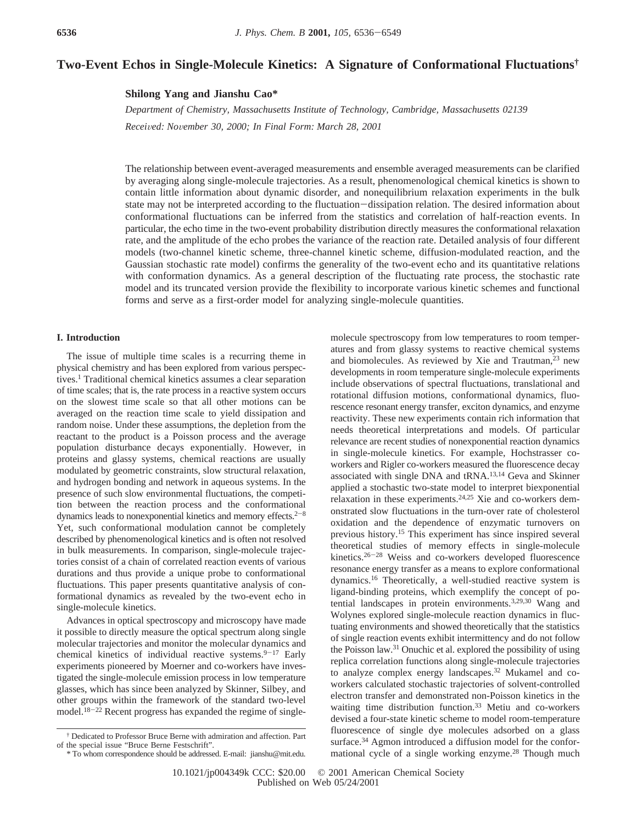# **Two-Event Echos in Single-Molecule Kinetics: A Signature of Conformational Fluctuations†**

**Shilong Yang and Jianshu Cao\***

*Department of Chemistry, Massachusetts Institute of Technology, Cambridge, Massachusetts 02139 Recei*V*ed: No*V*ember 30, 2000; In Final Form: March 28, 2001*

The relationship between event-averaged measurements and ensemble averaged measurements can be clarified by averaging along single-molecule trajectories. As a result, phenomenological chemical kinetics is shown to contain little information about dynamic disorder, and nonequilibrium relaxation experiments in the bulk state may not be interpreted according to the fluctuation-dissipation relation. The desired information about conformational fluctuations can be inferred from the statistics and correlation of half-reaction events. In particular, the echo time in the two-event probability distribution directly measures the conformational relaxation rate, and the amplitude of the echo probes the variance of the reaction rate. Detailed analysis of four different models (two-channel kinetic scheme, three-channel kinetic scheme, diffusion-modulated reaction, and the Gaussian stochastic rate model) confirms the generality of the two-event echo and its quantitative relations with conformation dynamics. As a general description of the fluctuating rate process, the stochastic rate model and its truncated version provide the flexibility to incorporate various kinetic schemes and functional forms and serve as a first-order model for analyzing single-molecule quantities.

## **I. Introduction**

The issue of multiple time scales is a recurring theme in physical chemistry and has been explored from various perspectives.1 Traditional chemical kinetics assumes a clear separation of time scales; that is, the rate process in a reactive system occurs on the slowest time scale so that all other motions can be averaged on the reaction time scale to yield dissipation and random noise. Under these assumptions, the depletion from the reactant to the product is a Poisson process and the average population disturbance decays exponentially. However, in proteins and glassy systems, chemical reactions are usually modulated by geometric constraints, slow structural relaxation, and hydrogen bonding and network in aqueous systems. In the presence of such slow environmental fluctuations, the competition between the reaction process and the conformational dynamics leads to nonexponential kinetics and memory effects. $2^{-8}$ Yet, such conformational modulation cannot be completely described by phenomenological kinetics and is often not resolved in bulk measurements. In comparison, single-molecule trajectories consist of a chain of correlated reaction events of various durations and thus provide a unique probe to conformational fluctuations. This paper presents quantitative analysis of conformational dynamics as revealed by the two-event echo in single-molecule kinetics.

Advances in optical spectroscopy and microscopy have made it possible to directly measure the optical spectrum along single molecular trajectories and monitor the molecular dynamics and chemical kinetics of individual reactive systems. $9-17$  Early experiments pioneered by Moerner and co-workers have investigated the single-molecule emission process in low temperature glasses, which has since been analyzed by Skinner, Silbey, and other groups within the framework of the standard two-level model.<sup>18-22</sup> Recent progress has expanded the regime of singlemolecule spectroscopy from low temperatures to room temperatures and from glassy systems to reactive chemical systems and biomolecules. As reviewed by Xie and Trautman, $23$  new developments in room temperature single-molecule experiments include observations of spectral fluctuations, translational and rotational diffusion motions, conformational dynamics, fluorescence resonant energy transfer, exciton dynamics, and enzyme reactivity. These new experiments contain rich information that needs theoretical interpretations and models. Of particular relevance are recent studies of nonexponential reaction dynamics in single-molecule kinetics. For example, Hochstrasser coworkers and Rigler co-workers measured the fluorescence decay associated with single DNA and tRNA.13,14 Geva and Skinner applied a stochastic two-state model to interpret biexponential relaxation in these experiments.24,25 Xie and co-workers demonstrated slow fluctuations in the turn-over rate of cholesterol oxidation and the dependence of enzymatic turnovers on previous history.15 This experiment has since inspired several theoretical studies of memory effects in single-molecule kinetics.26-<sup>28</sup> Weiss and co-workers developed fluorescence resonance energy transfer as a means to explore conformational dynamics.16 Theoretically, a well-studied reactive system is ligand-binding proteins, which exemplify the concept of potential landscapes in protein environments.3,29,30 Wang and Wolynes explored single-molecule reaction dynamics in fluctuating environments and showed theoretically that the statistics of single reaction events exhibit intermittency and do not follow the Poisson law.31 Onuchic et al. explored the possibility of using replica correlation functions along single-molecule trajectories to analyze complex energy landscapes.32 Mukamel and coworkers calculated stochastic trajectories of solvent-controlled electron transfer and demonstrated non-Poisson kinetics in the waiting time distribution function.<sup>33</sup> Metiu and co-workers devised a four-state kinetic scheme to model room-temperature fluorescence of single dye molecules adsorbed on a glass surface.<sup>34</sup> Agmon introduced a diffusion model for the conformational cycle of a single working enzyme.<sup>28</sup> Though much

<sup>†</sup> Dedicated to Professor Bruce Berne with admiration and affection. Part of the special issue "Bruce Berne Festschrift".

<sup>\*</sup> To whom correspondence should be addressed. E-mail: jianshu@mit.edu.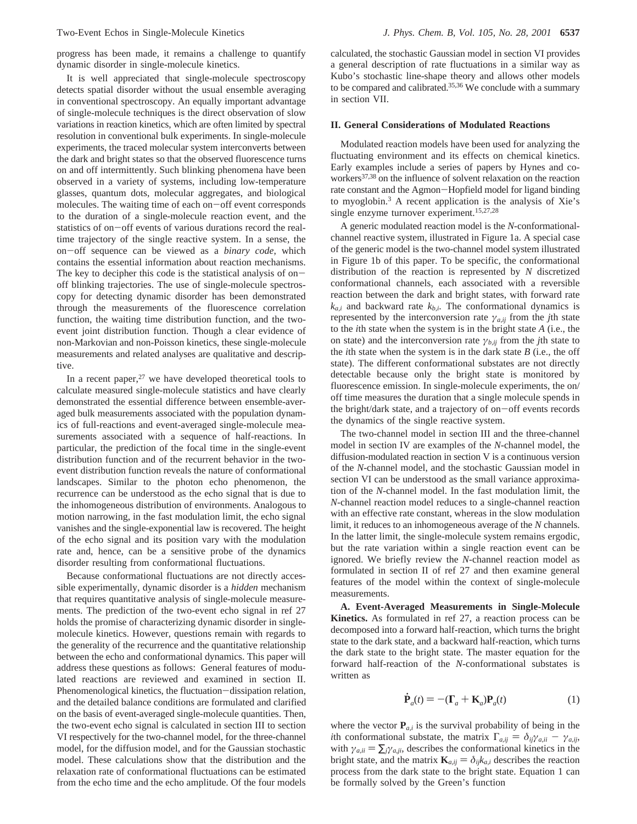progress has been made, it remains a challenge to quantify dynamic disorder in single-molecule kinetics.

It is well appreciated that single-molecule spectroscopy detects spatial disorder without the usual ensemble averaging in conventional spectroscopy. An equally important advantage of single-molecule techniques is the direct observation of slow variations in reaction kinetics, which are often limited by spectral resolution in conventional bulk experiments. In single-molecule experiments, the traced molecular system interconverts between the dark and bright states so that the observed fluorescence turns on and off intermittently. Such blinking phenomena have been observed in a variety of systems, including low-temperature glasses, quantum dots, molecular aggregates, and biological molecules. The waiting time of each on-off event corresponds to the duration of a single-molecule reaction event, and the statistics of on-off events of various durations record the realtime trajectory of the single reactive system. In a sense, the on-off sequence can be viewed as a *binary code*, which contains the essential information about reaction mechanisms. The key to decipher this code is the statistical analysis of onoff blinking trajectories. The use of single-molecule spectroscopy for detecting dynamic disorder has been demonstrated through the measurements of the fluorescence correlation function, the waiting time distribution function, and the twoevent joint distribution function. Though a clear evidence of non-Markovian and non-Poisson kinetics, these single-molecule measurements and related analyses are qualitative and descriptive.

In a recent paper, $27$  we have developed theoretical tools to calculate measured single-molecule statistics and have clearly demonstrated the essential difference between ensemble-averaged bulk measurements associated with the population dynamics of full-reactions and event-averaged single-molecule measurements associated with a sequence of half-reactions. In particular, the prediction of the focal time in the single-event distribution function and of the recurrent behavior in the twoevent distribution function reveals the nature of conformational landscapes. Similar to the photon echo phenomenon, the recurrence can be understood as the echo signal that is due to the inhomogeneous distribution of environments. Analogous to motion narrowing, in the fast modulation limit, the echo signal vanishes and the single-exponential law is recovered. The height of the echo signal and its position vary with the modulation rate and, hence, can be a sensitive probe of the dynamics disorder resulting from conformational fluctuations.

Because conformational fluctuations are not directly accessible experimentally, dynamic disorder is a *hidden* mechanism that requires quantitative analysis of single-molecule measurements. The prediction of the two-event echo signal in ref 27 holds the promise of characterizing dynamic disorder in singlemolecule kinetics. However, questions remain with regards to the generality of the recurrence and the quantitative relationship between the echo and conformational dynamics. This paper will address these questions as follows: General features of modulated reactions are reviewed and examined in section II. Phenomenological kinetics, the fluctuation-dissipation relation, and the detailed balance conditions are formulated and clarified on the basis of event-averaged single-molecule quantities. Then, the two-event echo signal is calculated in section III to section VI respectively for the two-channel model, for the three-channel model, for the diffusion model, and for the Gaussian stochastic model. These calculations show that the distribution and the relaxation rate of conformational fluctuations can be estimated from the echo time and the echo amplitude. Of the four models

calculated, the stochastic Gaussian model in section VI provides a general description of rate fluctuations in a similar way as Kubo's stochastic line-shape theory and allows other models to be compared and calibrated.35,36 We conclude with a summary in section VII.

## **II. General Considerations of Modulated Reactions**

Modulated reaction models have been used for analyzing the fluctuating environment and its effects on chemical kinetics. Early examples include a series of papers by Hynes and coworkers<sup>37,38</sup> on the influence of solvent relaxation on the reaction rate constant and the Agmon-Hopfield model for ligand binding to myoglobin.3 A recent application is the analysis of Xie's single enzyme turnover experiment.<sup>15,27,28</sup>

A generic modulated reaction model is the *N*-conformationalchannel reactive system, illustrated in Figure 1a. A special case of the generic model is the two-channel model system illustrated in Figure 1b of this paper. To be specific, the conformational distribution of the reaction is represented by *N* discretized conformational channels, each associated with a reversible reaction between the dark and bright states, with forward rate  $k_{a,i}$  and backward rate  $k_{b,i}$ . The conformational dynamics is represented by the interconversion rate  $\gamma_{a,ij}$  from the *j*th state to the *i*th state when the system is in the bright state *A* (i.e., the on state) and the interconversion rate  $\gamma_{b,ii}$  from the *j*th state to the *i*th state when the system is in the dark state *B* (i.e., the off state). The different conformational substates are not directly detectable because only the bright state is monitored by fluorescence emission. In single-molecule experiments, the on/ off time measures the duration that a single molecule spends in the bright/dark state, and a trajectory of on-off events records the dynamics of the single reactive system.

The two-channel model in section III and the three-channel model in section IV are examples of the *N*-channel model, the diffusion-modulated reaction in section V is a continuous version of the *N*-channel model, and the stochastic Gaussian model in section VI can be understood as the small variance approximation of the *N*-channel model. In the fast modulation limit, the *N*-channel reaction model reduces to a single-channel reaction with an effective rate constant, whereas in the slow modulation limit, it reduces to an inhomogeneous average of the *N* channels. In the latter limit, the single-molecule system remains ergodic, but the rate variation within a single reaction event can be ignored. We briefly review the *N*-channel reaction model as formulated in section II of ref 27 and then examine general features of the model within the context of single-molecule measurements.

**A. Event-Averaged Measurements in Single-Molecule Kinetics.** As formulated in ref 27, a reaction process can be decomposed into a forward half-reaction, which turns the bright state to the dark state, and a backward half-reaction, which turns the dark state to the bright state. The master equation for the forward half-reaction of the *N*-conformational substates is written as

$$
\dot{\mathbf{P}}_a(t) = -(\mathbf{\Gamma}_a + \mathbf{K}_a)\mathbf{P}_a(t) \tag{1}
$$

where the vector  $P_{a,i}$  is the survival probability of being in the *i*th conformational substate, the matrix  $\Gamma_{a,ij} = \delta_{ij}\gamma_{a,ii} - \gamma_{a,ij}$ , with  $\gamma_{a,i} = \sum_{i} \gamma_{a,i}$ , describes the conformational kinetics in the bright state, and the matrix  $\mathbf{K}_{a,ij} = \delta_{ij} k_{a,i}$  describes the reaction process from the dark state to the bright state. Equation 1 can be formally solved by the Green's function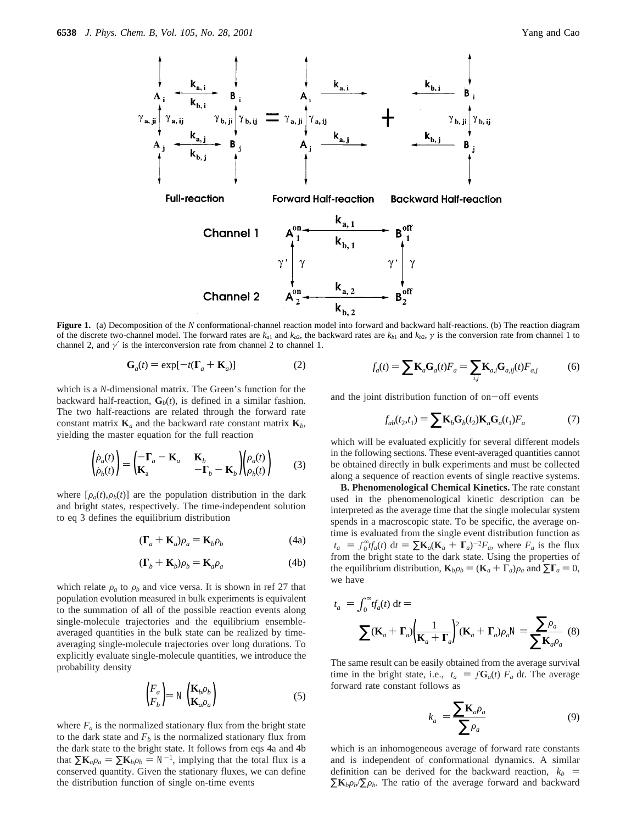

**Figure 1.** (a) Decomposition of the *N* conformational-channel reaction model into forward and backward half-reactions. (b) The reaction diagram of the discrete two-channel model. The forward rates are  $k_{a1}$  and  $k_{a2}$ , the backward rates are  $k_{b1}$  and  $k_{b2}$ ,  $\gamma$  is the conversion rate from channel 1 to channel 2, and *γ*′ is the interconversion rate from channel 2 to channel 1.

$$
\mathbf{G}_a(t) = \exp[-t(\mathbf{\Gamma}_a + \mathbf{K}_a)] \tag{2}
$$

which is a *N*-dimensional matrix. The Green's function for the backward half-reaction,  $\mathbf{G}_b(t)$ , is defined in a similar fashion. The two half-reactions are related through the forward rate constant matrix  $\mathbf{K}_a$  and the backward rate constant matrix  $\mathbf{K}_b$ , yielding the master equation for the full reaction

$$
\begin{pmatrix} \dot{\rho}_a(t) \\ \dot{\rho}_b(t) \end{pmatrix} = \begin{pmatrix} -\mathbf{\Gamma}_a - \mathbf{K}_a & \mathbf{K}_b \\ \mathbf{K}_a & -\mathbf{\Gamma}_b - \mathbf{K}_b \end{pmatrix} \begin{pmatrix} \rho_a(t) \\ \rho_b(t) \end{pmatrix} \tag{3}
$$

where  $[\rho_a(t), \rho_b(t)]$  are the population distribution in the dark and bright states, respectively. The time-independent solution to eq 3 defines the equilibrium distribution

$$
(\mathbf{\Gamma}_a + \mathbf{K}_a)\rho_a = \mathbf{K}_b \rho_b \tag{4a}
$$

$$
(\mathbf{\Gamma}_b + \mathbf{K}_b)\rho_b = \mathbf{K}_a \rho_a \tag{4b}
$$

which relate  $\rho_a$  to  $\rho_b$  and vice versa. It is shown in ref 27 that population evolution measured in bulk experiments is equivalent to the summation of all of the possible reaction events along single-molecule trajectories and the equilibrium ensembleaveraged quantities in the bulk state can be realized by timeaveraging single-molecule trajectories over long durations. To explicitly evaluate single-molecule quantities, we introduce the probability density

$$
\begin{pmatrix} F_a \\ F_b \end{pmatrix} = \mathcal{N} \begin{pmatrix} \mathbf{K}_b \rho_b \\ \mathbf{K}_a \rho_a \end{pmatrix}
$$
 (5)

where  $F_a$  is the normalized stationary flux from the bright state to the dark state and  $F_b$  is the normalized stationary flux from the dark state to the bright state. It follows from eqs 4a and 4b that  $\sum \mathbf{K}_a \rho_a = \sum \mathbf{K}_b \rho_b = \mathcal{N}^{-1}$ , implying that the total flux is a conserved quantity. Given the stationary fluxes, we can define the distribution function of single on-time events

$$
f_a(t) = \sum \mathbf{K}_a \mathbf{G}_a(t) F_a = \sum_{i,j} \mathbf{K}_{a,i} \mathbf{G}_{a,ij}(t) F_{a,j} \tag{6}
$$

and the joint distribution function of on-off events

$$
f_{ab}(t_2, t_1) = \sum \mathbf{K}_b \mathbf{G}_b(t_2) \mathbf{K}_a \mathbf{G}_a(t_1) F_a \tag{7}
$$

which will be evaluated explicitly for several different models in the following sections. These event-averaged quantities cannot be obtained directly in bulk experiments and must be collected along a sequence of reaction events of single reactive systems.

**B. Phenomenological Chemical Kinetics.** The rate constant used in the phenomenological kinetic description can be interpreted as the average time that the single molecular system spends in a macroscopic state. To be specific, the average ontime is evaluated from the single event distribution function as  $\langle t_a \rangle = \int_0^\infty t f_a(t) dt = \sum \mathbf{K}_a (\mathbf{K}_a + \mathbf{\Gamma}_a)^{-2} F_a$ , where  $F_a$  is the flux from the bright state to the dark state. Using the properties of from the bright state to the dark state. Using the properties of the equilibrium distribution,  $\mathbf{K}_b \rho_b = (\mathbf{K}_a + \Gamma_a) \rho_a$  and  $\sum \Gamma_a = 0$ , we have

$$
\langle t_a \rangle = \int_0^\infty t f_a(t) \, \mathrm{d}t =
$$

$$
\sum (\mathbf{K}_a + \mathbf{\Gamma}_a) \left(\frac{1}{\mathbf{K}_a + \mathbf{\Gamma}_a}\right)^2 (\mathbf{K}_a + \mathbf{\Gamma}_a) \rho_a / \sqrt{-1} \sum \mathbf{K}_a \rho_a \tag{8}
$$

The same result can be easily obtained from the average survival time in the bright state, i.e.,  $\langle t_a \rangle = \int \mathbf{G}_a(t) F_a \, dt$ . The average forward rate constant follows as

$$
\langle k_a \rangle = \frac{\sum \mathbf{K}_a \rho_a}{\sum \rho_a} \tag{9}
$$

which is an inhomogeneous average of forward rate constants and is independent of conformational dynamics. A similar definition can be derived for the backward reaction,  $\langle k_b \rangle$  =  $\sum \mathbf{K}_b \rho_b / \sum \rho_b$ . The ratio of the average forward and backward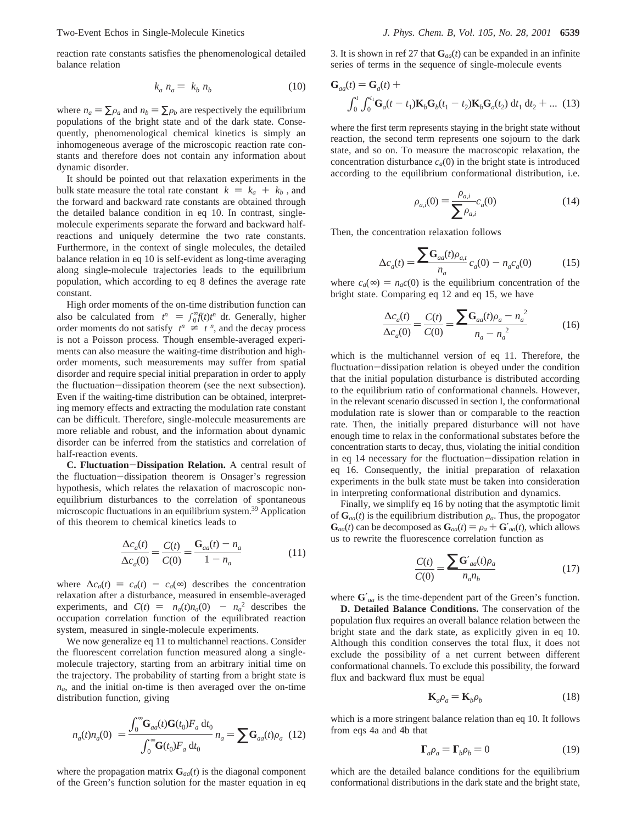$$
\langle k_a \rangle n_a = \langle k_b \rangle n_b \tag{10}
$$

where  $n_a = \sum \rho_a$  and  $n_b = \sum \rho_b$  are respectively the equilibrium populations of the bright state and of the dark state. Consequently, phenomenological chemical kinetics is simply an inhomogeneous average of the microscopic reaction rate constants and therefore does not contain any information about dynamic disorder.

It should be pointed out that relaxation experiments in the bulk state measure the total rate constant  $\langle k \rangle = \langle k_a \rangle + \langle k_b \rangle$ , and the forward and backward rate constants are obtained through the detailed balance condition in eq 10. In contrast, singlemolecule experiments separate the forward and backward halfreactions and uniquely determine the two rate constants. Furthermore, in the context of single molecules, the detailed balance relation in eq 10 is self-evident as long-time averaging along single-molecule trajectories leads to the equilibrium population, which according to eq 8 defines the average rate constant.

High order moments of the on-time distribution function can also be calculated from  $\langle t^n \rangle = \int_{0}^{\infty} f(t) t^n dt$ . Generally, higher order moments do not satisfy  $\langle t^n \rangle \neq \langle t \rangle^n$  and the decay process order moments do not satisfy  $\langle t^n \rangle \neq \langle t^n \rangle^n$ , and the decay process is not a Poisson process. Though ensemble-averaged experiis not a Poisson process. Though ensemble-averaged experiments can also measure the waiting-time distribution and highorder moments, such measurements may suffer from spatial disorder and require special initial preparation in order to apply the fluctuation-dissipation theorem (see the next subsection). Even if the waiting-time distribution can be obtained, interpreting memory effects and extracting the modulation rate constant can be difficult. Therefore, single-molecule measurements are more reliable and robust, and the information about dynamic disorder can be inferred from the statistics and correlation of half-reaction events.

**C. Fluctuation**-**Dissipation Relation.** A central result of the fluctuation-dissipation theorem is Onsager's regression hypothesis, which relates the relaxation of macroscopic nonequilibrium disturbances to the correlation of spontaneous microscopic fluctuations in an equilibrium system.39 Application of this theorem to chemical kinetics leads to

$$
\frac{\Delta c_a(t)}{\Delta c_a(0)} = \frac{C(t)}{C(0)} = \frac{G_{aa}(t) - n_a}{1 - n_a}
$$
(11)

where  $\Delta c_a(t) = c_a(t) - c_a(\infty)$  describes the concentration relaxation after a disturbance, measured in ensemble-averaged experiments, and  $C(t) = \langle n_a(t)n_a(0) \rangle - n_a^2$  describes the occupation correlation function of the equilibrated reaction occupation correlation function of the equilibrated reaction system, measured in single-molecule experiments.

We now generalize eq 11 to multichannel reactions. Consider the fluorescent correlation function measured along a singlemolecule trajectory, starting from an arbitrary initial time on the trajectory. The probability of starting from a bright state is *na*, and the initial on-time is then averaged over the on-time distribution function, giving

$$
\langle n_a(t)n_a(0)\rangle = \frac{\int_0^\infty \mathbf{G}_{aa}(t)\mathbf{G}(t_0)F_a \, \mathrm{d}t_0}{\int_0^\infty \mathbf{G}(t_0)F_a \, \mathrm{d}t_0} n_a = \sum \mathbf{G}_{aa}(t)\rho_a \tag{12}
$$

where the propagation matrix  $\mathbf{G}_{aa}(t)$  is the diagonal component of the Green's function solution for the master equation in eq

3. It is shown in ref 27 that  $\mathbf{G}_{aa}(t)$  can be expanded in an infinite series of terms in the sequence of single-molecule events

$$
\mathbf{G}_{aa}(t) = \mathbf{G}_a(t) + \int_0^t \int_0^{t_1} \mathbf{G}_a(t - t_1) \mathbf{K}_b \mathbf{G}_b(t_1 - t_2) \mathbf{K}_b \mathbf{G}_a(t_2) dt_1 dt_2 + \dots (13)
$$

where the first term represents staying in the bright state without reaction, the second term represents one sojourn to the dark state, and so on. To measure the macroscopic relaxation, the concentration disturbance  $c_a(0)$  in the bright state is introduced according to the equilibrium conformational distribution, i.e.

$$
\rho_{a,i}(0) = \frac{\rho_{a,i}}{\sum \rho_{a,i}} c_a(0) \tag{14}
$$

Then, the concentration relaxation follows

$$
\Delta c_a(t) = \frac{\sum \mathbf{G}_{aa}(t)\rho_{a,t}}{n_a} c_a(0) - n_a c_a(0) \tag{15}
$$

where  $c_a(\infty) = n_a c(0)$  is the equilibrium concentration of the bright state. Comparing eq 12 and eq 15, we have

$$
\frac{\Delta c_a(t)}{\Delta c_a(0)} = \frac{C(t)}{C(0)} = \frac{\sum \mathbf{G}_{aa}(t)\rho_a - n_a^2}{n_a - n_a^2}
$$
(16)

which is the multichannel version of eq 11. Therefore, the fluctuation-dissipation relation is obeyed under the condition that the initial population disturbance is distributed according to the equilibrium ratio of conformational channels. However, in the relevant scenario discussed in section I, the conformational modulation rate is slower than or comparable to the reaction rate. Then, the initially prepared disturbance will not have enough time to relax in the conformational substates before the concentration starts to decay, thus, violating the initial condition in eq 14 necessary for the fluctuation-dissipation relation in eq 16. Consequently, the initial preparation of relaxation experiments in the bulk state must be taken into consideration in interpreting conformational distribution and dynamics.

Finally, we simplify eq 16 by noting that the asymptotic limit of  $\mathbf{G}_{aa}(t)$  is the equilibrium distribution  $\rho_a$ . Thus, the propogator  $\mathbf{G}_{aa}(t)$  can be decomposed as  $\mathbf{G}_{aa}(t) = \rho_a + \mathbf{G}'_{aa}(t)$ , which allows us to rewrite the fluorescence correlation function as

$$
\frac{C(t)}{C(0)} = \frac{\sum \mathbf{G'}_{aa}(t)\rho_a}{n_a n_b} \tag{17}
$$

where **G**′*aa* is the time-dependent part of the Green's function.

**D. Detailed Balance Conditions.** The conservation of the population flux requires an overall balance relation between the bright state and the dark state, as explicitly given in eq 10. Although this condition conserves the total flux, it does not exclude the possibility of a net current between different conformational channels. To exclude this possibility, the forward flux and backward flux must be equal

$$
\mathbf{K}_a \rho_a = \mathbf{K}_b \rho_b \tag{18}
$$

which is a more stringent balance relation than eq 10. It follows from eqs 4a and 4b that

$$
\Gamma_a \rho_a = \Gamma_b \rho_b = 0 \tag{19}
$$

which are the detailed balance conditions for the equilibrium conformational distributions in the dark state and the bright state,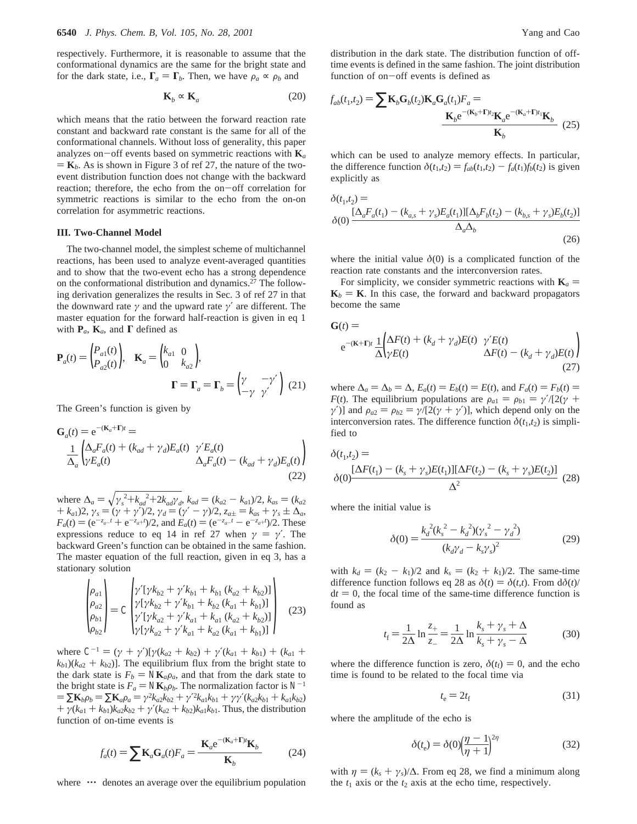respectively. Furthermore, it is reasonable to assume that the conformational dynamics are the same for the bright state and for the dark state, i.e.,  $\Gamma_a = \Gamma_b$ . Then, we have  $\rho_a \propto \rho_b$  and

$$
\mathbf{K}_b \sim \mathbf{K}_a \tag{20}
$$

which means that the ratio between the forward reaction rate constant and backward rate constant is the same for all of the conformational channels. Without loss of generality, this paper analyzes on-off events based on symmetric reactions with  $\mathbf{K}_a$  $\mathbf{K}_b$ . As is shown in Figure 3 of ref 27, the nature of the twoevent distribution function does not change with the backward reaction; therefore, the echo from the on-off correlation for symmetric reactions is similar to the echo from the on-on correlation for asymmetric reactions.

#### **III. Two-Channel Model**

The two-channel model, the simplest scheme of multichannel reactions, has been used to analyze event-averaged quantities and to show that the two-event echo has a strong dependence on the conformational distribution and dynamics.27 The following derivation generalizes the results in Sec. 3 of ref 27 in that the downward rate  $\gamma$  and the upward rate  $\gamma'$  are different. The master equation for the forward half-reaction is given in eq 1 with  $P_a$ ,  $K_a$ , and  $\Gamma$  defined as

$$
\mathbf{P}_a(t) = \begin{pmatrix} P_{a1}(t) \\ P_{a2}(t) \end{pmatrix}, \quad \mathbf{K}_a = \begin{pmatrix} k_{a1} & 0 \\ 0 & k_{a2} \end{pmatrix},
$$
\n
$$
\mathbf{\Gamma} = \mathbf{\Gamma}_a = \mathbf{\Gamma}_b = \begin{pmatrix} \gamma & -\gamma' \\ -\gamma & \gamma' \end{pmatrix} \tag{21}
$$

The Green's function is given by

$$
\mathbf{G}_a(t) = e^{-(\mathbf{K}_a + \mathbf{\Gamma})t} =
$$
\n
$$
\frac{1}{\Delta_a} \begin{pmatrix} \Delta_a F_a(t) + (k_{ad} + \gamma_d) E_a(t) & \gamma' E_a(t) \\ \gamma E_a(t) & \Delta_a F_a(t) - (k_{ad} + \gamma_d) E_a(t) \end{pmatrix}
$$
\n(22)

where  $\Delta_a = \sqrt{\gamma_s^2 + k_{ad}^2 + 2k_{ad}\gamma_d}$ ,  $k_{ad} = (k_{a2} - k_{a1})/2$ ,  $k_{as} = (k_{a2} + k_{a1})/2$ ,  $\gamma_d = (\gamma + \gamma_c)/2$ ,  $\gamma_d = (\gamma' - \gamma_c)/2$ ,  $\gamma_d = k_{a1} + \gamma_c + \gamma_c$  $+k_{a1}$ )2,  $\gamma_s = (\gamma + \gamma')/2$ ,  $\gamma_d = (\gamma' - \gamma)/2$ ,  $z_{a\pm} = k_{as} + \gamma_s \pm \Delta_a$ ,<br> $F_+(t) = (e^{-z_{a-}t} + e^{-z_{a+}t})/2$  and  $F_+(t) = (e^{-z_{a-}t} - e^{-z_{a+}t})/2$  These  $F_a(t) = (e^{-z_a-t} + e^{-z_a+t})/2$ , and  $E_a(t) = (e^{-z_a-t} - e^{-z_a+t})/2$ . These<br>expressions reduce to eq. 14 in ref. 27 when  $y = y'$ . The expressions reduce to eq 14 in ref 27 when  $\gamma = \gamma'$ . The backward Green's function can be obtained in the same fashion. The master equation of the full reaction, given in eq 3, has a stationary solution

$$
\begin{pmatrix}\n\rho_{a1} \\
\rho_{a2} \\
\rho_{b1} \\
\rho_{b2}\n\end{pmatrix} = C \begin{pmatrix}\n\gamma' [\gamma k_{b2} + \gamma' k_{b1} + k_{b1} (k_{a2} + k_{b2})] \\
\gamma [\gamma k_{b2} + \gamma' k_{b1} + k_{b2} (k_{a1} + k_{b1})] \\
\gamma' [\gamma k_{a2} + \gamma' k_{a1} + k_{a1} (k_{a2} + k_{b2})] \\
\gamma [\gamma k_{a2} + \gamma' k_{a1} + k_{a2} (k_{a1} + k_{b1})]\n\end{pmatrix}
$$
\n(23)

where  $C^{-1} = (\gamma + \gamma')[\gamma(k_{a2} + k_{b2}) + \gamma'(k_{a1} + k_{b1}) + (k_{a1} + k_{a2})]$  $(k_{b1})(k_{a2} + k_{b2})$ . The equilibrium flux from the bright state to the dark state is  $F_b = \Delta K_a \rho_a$ , and that from the dark state to the bright state is  $F_a = \Delta K_b \rho_b$ . The normalization factor is  $\mathcal{N}^{-1}$  $= \sum \mathbf{K}_b \rho_b = \sum \mathbf{K}_a \rho_a = \gamma^2 k_{a2} k_{b2} + \gamma'^2 k_{a1} k_{b1} + \gamma \gamma' (k_{a2} k_{b1} + k_{a1} k_{b2})$ <br>+  $\gamma (k_{a} + k_{b1}) k_{a} k_{b2} + \gamma' (k_{a} + k_{b2}) k_{a} k_{b1}$ . Thus the distribution  $+ \gamma(k_{a1} + k_{b1})k_{a2}k_{b2} + \gamma'(k_{a2} + k_{b2})k_{a1}k_{b1}$ . Thus, the distribution function of on-time events is

$$
f_a(t) = \sum \mathbf{K}_a \mathbf{G}_a(t) F_a = \frac{\langle \mathbf{K}_a e^{-(\mathbf{K}_a + \mathbf{\Gamma})t} \mathbf{K}_b \rangle}{\langle \mathbf{K}_b \rangle}
$$
(24)

where  $\langle \cdots \rangle$  denotes an average over the equilibrium population

distribution in the dark state. The distribution function of offtime events is defined in the same fashion. The joint distribution function of on-off events is defined as

$$
f_{ab}(t_1, t_2) = \sum \mathbf{K}_b \mathbf{G}_b(t_2) \mathbf{K}_a \mathbf{G}_a(t_1) F_a = \frac{\langle \mathbf{K}_b e^{-(\mathbf{K}_b + \mathbf{\Gamma})t_2} \mathbf{K}_a e^{-(\mathbf{K}_a + \mathbf{\Gamma})t_1} \mathbf{K}_b \rangle}{\langle \mathbf{K}_b \rangle}
$$
(25)

which can be used to analyze memory effects. In particular, the difference function  $\delta(t_1,t_2) = f_{ab}(t_1,t_2) - f_a(t_1)f_b(t_2)$  is given explicitly as

$$
\delta(t_1, t_2) =
$$
  
\n
$$
\delta(0) \frac{[\Delta_a F_a(t_1) - (k_{a,s} + \gamma_s)E_a(t_1)][\Delta_b F_b(t_2) - (k_{b,s} + \gamma_s)E_b(t_2)]}{\Delta_a \Delta_b}
$$
\n(26)

where the initial value  $\delta(0)$  is a complicated function of the reaction rate constants and the interconversion rates.

For simplicity, we consider symmetric reactions with  $\mathbf{K}_a =$  $\mathbf{K}_b = \mathbf{K}$ . In this case, the forward and backward propagators become the same

$$
\mathbf{G}(t) =
$$
  
\n
$$
e^{-(\mathbf{K}+\mathbf{\Gamma})t} \frac{1}{\Delta} \left( \frac{\Delta F(t) + (k_d + \gamma_d)E(t)}{\gamma E(t)} - \frac{(k_d + \gamma_d)E(t)}{\gamma E(t)} \right)
$$
\n
$$
(27)
$$

where  $\Delta_a = \Delta_b = \Delta$ ,  $E_a(t) = E_b(t) = E(t)$ , and  $F_a(t) = F_b(t) =$ *F*(*t*). The equilibrium populations are  $\rho_{a1} = \rho_{b1} = \gamma'/(2(\gamma +$ *γ*<sup>'</sup>)] and  $ρ_{a2} = ρ_{b2} = γ/[2(γ + γ')]$ , which depend only on the interconversion rates. The difference function  $\delta(t_1, t_2)$  is simplified to

$$
\delta(t_1, t_2) =\n\delta(0) \frac{[\Delta F(t_1) - (k_s + \gamma_s)E(t_1)][\Delta F(t_2) - (k_s + \gamma_s)E(t_2)]}{\Delta^2} \n(28)
$$

where the initial value is

$$
\delta(0) = \frac{k_d^2 (k_s^2 - k_d^2) (\gamma_s^2 - \gamma_d^2)}{(k_d \gamma_d - k_s \gamma_s)^2}
$$
(29)

with  $k_d = (k_2 - k_1)/2$  and  $k_s = (k_2 + k_1)/2$ . The same-time difference function follows eq 28 as  $\delta(t) = \delta(t,t)$ . From  $d\delta(t)$ /  $dt = 0$ , the focal time of the same-time difference function is found as

$$
t_{\rm f} = \frac{1}{2\Delta} \ln \frac{z_{+}}{z_{-}} = \frac{1}{2\Delta} \ln \frac{k_{s} + \gamma_{s} + \Delta}{k_{s} + \gamma_{s} - \Delta}
$$
(30)

where the difference function is zero,  $\delta(t_f) = 0$ , and the echo time is found to be related to the focal time via

$$
t_{\rm e} = 2t_{\rm f} \tag{31}
$$

where the amplitude of the echo is

$$
\delta(t_e) = \delta(0) \left(\frac{\eta - 1}{\eta + 1}\right)^{2\eta} \tag{32}
$$

with  $\eta = (k_s + \gamma_s)/\Delta$ . From eq 28, we find a minimum along the  $t_1$  axis or the  $t_2$  axis at the echo time, respectively.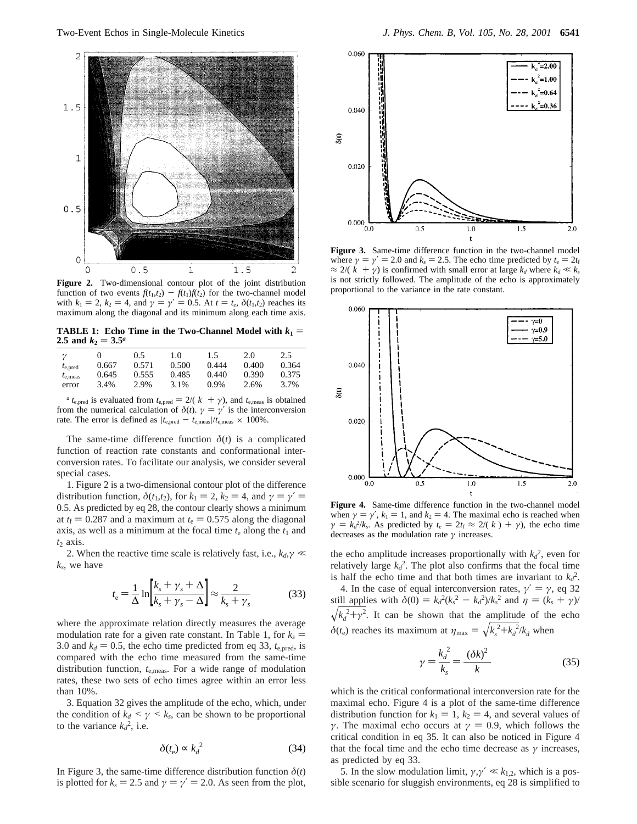

**Figure 2.** Two-dimensional contour plot of the joint distribution function of two events  $f(t_1,t_2) - f(t_1)f(t_2)$  for the two-channel model with  $k_1 = 2$ ,  $k_2 = 4$ , and  $\gamma = \gamma' = 0.5$ . At  $t = t_e$ ,  $\delta(t_1, t_2)$  reaches its maximum along the diagonal and its minimum along each time axis.

**TABLE 1: Echo Time in the Two-Channel Model with**  $k_1 =$ **2.5 and**  $k_2 = 3.5^a$ 

|                   |       | 0.5   | 1.0   | 1.5   | 2.0   | 2.5   |
|-------------------|-------|-------|-------|-------|-------|-------|
| $t_{e, pred}$     | 0.667 | 0.571 | 0.500 | 0.444 | 0.400 | 0.364 |
| $t_{\rm e, meas}$ | 0.645 | 0.555 | 0.485 | 0.440 | 0.390 | 0.375 |
| error             | 3.4%  | 2.9%  | 3.1%  | 0.9%  | 2.6%  | 3.7%  |

*a*  $t_{\text{e,pred}}$  is evaluated from  $t_{\text{e,pred}} = 2/(k + \gamma)$ , and  $t_{\text{e,meas}}$  is obtained from the numerical calculation of  $\delta(t)$ .  $\gamma = \gamma'$  is the interconversion rate. The error is defined as  $|t_{e,\text{pred}} - t_{e,\text{meas}}|/t_{e,\text{meas}} \times 100\%$ .

The same-time difference function  $\delta(t)$  is a complicated function of reaction rate constants and conformational interconversion rates. To facilitate our analysis, we consider several special cases.

1. Figure 2 is a two-dimensional contour plot of the difference distribution function,  $\delta(t_1, t_2)$ , for  $k_1 = 2$ ,  $k_2 = 4$ , and  $\gamma = \gamma' =$ 0.5. As predicted by eq 28, the contour clearly shows a minimum at  $t_f = 0.287$  and a maximum at  $t_e = 0.575$  along the diagonal axis, as well as a minimum at the focal time  $t_e$  along the  $t_1$  and *t*<sup>2</sup> axis.

2. When the reactive time scale is relatively fast, i.e.,  $k_d$ , $\gamma$   $\ll$ *ks*, we have

$$
t_{\rm e} = \frac{1}{\Delta} \ln \left[ \frac{k_s + \gamma_s + \Delta}{k_s + \gamma_s - \Delta} \right] \approx \frac{2}{k_s + \gamma_s} \tag{33}
$$

where the approximate relation directly measures the average modulation rate for a given rate constant. In Table 1, for  $k_s$  = 3.0 and  $k_d = 0.5$ , the echo time predicted from eq 33,  $t_{e, pred}$ , is compared with the echo time measured from the same-time distribution function, *t*e,meas. For a wide range of modulation rates, these two sets of echo times agree within an error less than 10%.

3. Equation 32 gives the amplitude of the echo, which, under the condition of  $k_d \leq \gamma \leq k_s$ , can be shown to be proportional to the variance  $k_d^2$ , i.e.

$$
\delta(t_e) \propto k_d^2 \tag{34}
$$

In Figure 3, the same-time difference distribution function  $\delta(t)$ is plotted for  $k_s = 2.5$  and  $\gamma = \gamma' = 2.0$ . As seen from the plot,



**Figure 3.** Same-time difference function in the two-channel model where  $\gamma = \gamma' = 2.0$  and  $k_s = 2.5$ . The echo time predicted by  $t_e = 2t_f$  $\approx$  2/( $\langle k \rangle + \gamma$ ) is confirmed with small error at large  $k_d$  where  $k_d \ll k_s$ is not strictly followed. The amplitude of the echo is approximately proportional to the variance in the rate constant.



**Figure 4.** Same-time difference function in the two-channel model when  $\gamma = \gamma'$ ,  $k_1 = 1$ , and  $k_2 = 4$ . The maximal echo is reached when  $\gamma = k_d^2/k_s$ . As predicted by  $t_e = 2t_f \approx 2/(\langle k \rangle) + \gamma$ , the echo time decreases as the modulation rate  $\gamma$  increases decreases as the modulation rate *γ* increases.

the echo amplitude increases proportionally with  $k_d^2$ , even for relatively large  $k_d^2$ . The plot also confirms that the focal time is half the echo time and that both times are invariant to  $k_d^2$ .

4. In the case of equal interconversion rates,  $\gamma' = \gamma$ , eq 32 still applies with  $\delta(0) = k_d^2(k_s^2 - k_d^2)/k_s^2$  and  $\eta = (k_s + \gamma)$  $\sqrt{k_d^2 + \gamma^2}$ . It can be shown that the amplitude of the echo  $\delta(t_e)$  reaches its maximum at  $\eta_{\text{max}} = \sqrt{k_s^2 + k_d^2/k_d}$  when

$$
\gamma = \frac{k_d^2}{k_s} = \frac{\langle (\delta k)^2 \rangle}{\langle k \rangle} \tag{35}
$$

which is the critical conformational interconversion rate for the maximal echo. Figure 4 is a plot of the same-time difference distribution function for  $k_1 = 1$ ,  $k_2 = 4$ , and several values of *γ*. The maximal echo occurs at  $\gamma = 0.9$ , which follows the critical condition in eq 35. It can also be noticed in Figure 4 that the focal time and the echo time decrease as  $\gamma$  increases, as predicted by eq 33.

5. In the slow modulation limit,  $\gamma, \gamma' \ll k_{1,2}$ , which is a possible scenario for sluggish environments, eq 28 is simplified to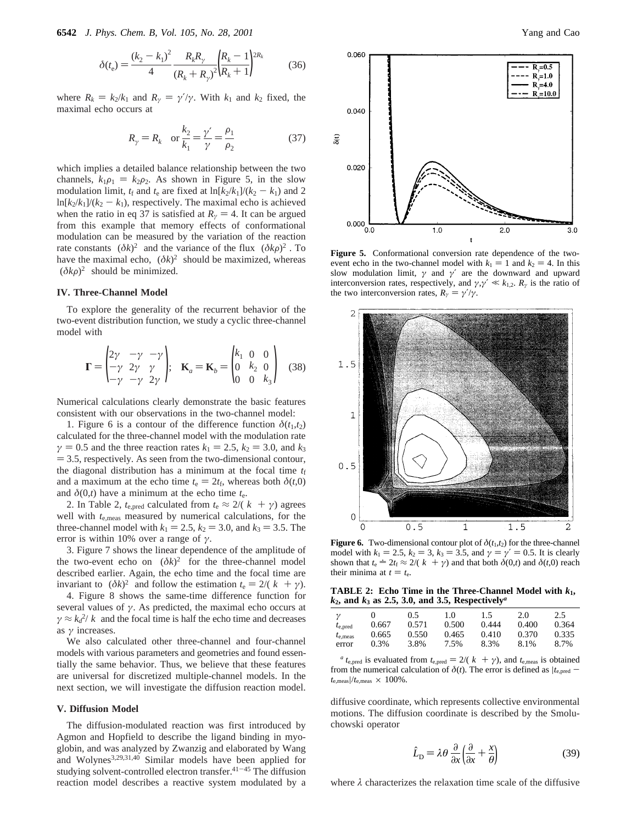**6542** *J. Phys. Chem. B, Vol. 105, No. 28, 2001* Yang and Cao

$$
\delta(t_e) = \frac{(k_2 - k_1)^2}{4} \frac{R_k R_\gamma}{(R_k + R_\gamma)^2} \left(\frac{R_k - 1}{R_k + 1}\right)^{2R_k} \tag{36}
$$

where  $R_k = k_2/k_1$  and  $R_\gamma = \gamma'/\gamma$ . With  $k_1$  and  $k_2$  fixed, the maximal echo occurs at

$$
R_{\gamma} = R_k
$$
 or  $\frac{k_2}{k_1} = \frac{\gamma'}{\gamma} = \frac{\rho_1}{\rho_2}$  (37)

which implies a detailed balance relationship between the two channels,  $k_1\rho_1 = k_2\rho_2$ . As shown in Figure 5, in the slow modulation limit,  $t_f$  and  $t_e$  are fixed at  $\ln[k_2/k_1]/(k_2 - k_1)$  and 2  $\ln[k_2/k_1]/(k_2 - k_1)$ , respectively. The maximal echo is achieved when the ratio in eq 37 is satisfied at  $R<sub>\gamma</sub> = 4$ . It can be argued from this example that memory effects of conformational modulation can be measured by the variation of the reaction rate constants  $\langle (\delta k)^2 \rangle$  and the variance of the flux  $\langle (\delta k \rho)^2 \rangle$ . To have the maximal echo,  $\langle (\delta k)^2 \rangle$  should be maximized, whereas  $\langle (\delta k\rho)^2 \rangle$  should be minimized.

## **IV. Three-Channel Model**

To explore the generality of the recurrent behavior of the two-event distribution function, we study a cyclic three-channel model with

$$
\mathbf{\Gamma} = \begin{pmatrix} 2\gamma & -\gamma & -\gamma \\ -\gamma & 2\gamma & \gamma \\ -\gamma & -\gamma & 2\gamma \end{pmatrix}; \quad \mathbf{K}_a = \mathbf{K}_b = \begin{pmatrix} k_1 & 0 & 0 \\ 0 & k_2 & 0 \\ 0 & 0 & k_3 \end{pmatrix} \quad (38)
$$

Numerical calculations clearly demonstrate the basic features consistent with our observations in the two-channel model:

1. Figure 6 is a contour of the difference function  $\delta(t_1,t_2)$ calculated for the three-channel model with the modulation rate *γ* = 0.5 and the three reaction rates  $k_1$  = 2.5,  $k_2$  = 3.0, and  $k_3$  $=$  3.5, respectively. As seen from the two-dimensional contour, the diagonal distribution has a minimum at the focal time  $t_f$ and a maximum at the echo time  $t_e = 2t_f$ , whereas both  $\delta(t,0)$ and  $\delta(0,t)$  have a minimum at the echo time  $t_e$ .

2. In Table 2,  $t_{\text{e,pred}}$  calculated from  $t_{\text{e}} \approx 2/(k + \gamma)$  agrees well with *t*e,meas measured by numerical calculations, for the three-channel model with  $k_1 = 2.5$ ,  $k_2 = 3.0$ , and  $k_3 = 3.5$ . The error is within 10% over a range of *γ*.

3. Figure 7 shows the linear dependence of the amplitude of the two-event echo on  $\langle (\delta k)^2 \rangle$  for the three-channel model described earlier. Again, the echo time and the focal time are invariant to  $\langle (\delta k)^2 \rangle$  and follow the estimation  $t_e = 2/\langle \langle k \rangle + \gamma$ ).

4. Figure 8 shows the same-time difference function for several values of *γ*. As predicted, the maximal echo occurs at  $\gamma \approx k_d^2/\langle k \rangle$  and the focal time is half the echo time and decreases as *γ* increases.

We also calculated other three-channel and four-channel models with various parameters and geometries and found essentially the same behavior. Thus, we believe that these features are universal for discretized multiple-channel models. In the next section, we will investigate the diffusion reaction model.

## **V. Diffusion Model**

The diffusion-modulated reaction was first introduced by Agmon and Hopfield to describe the ligand binding in myoglobin, and was analyzed by Zwanzig and elaborated by Wang and Wolynes3,29,31,40 Similar models have been applied for studying solvent-controlled electron transfer. $41-45$  The diffusion reaction model describes a reactive system modulated by a



**Figure 5.** Conformational conversion rate dependence of the twoevent echo in the two-channel model with  $k_1 = 1$  and  $k_2 = 4$ . In this slow modulation limit, *γ* and *γ*′ are the downward and upward interconversion rates, respectively, and  $\gamma$ , $\gamma' \ll k_{1,2}$ .  $R_{\gamma}$  is the ratio of the two interconversion rates,  $R_\gamma = \gamma'/\gamma$ .



**Figure 6.** Two-dimensional contour plot of  $\delta(t_1, t_2)$  for the three-channel model with  $k_1 = 2.5$ ,  $k_2 = 3$ ,  $k_3 = 3.5$ , and  $\gamma = \gamma' = 0.5$ . It is clearly shown that  $t_e = 2t_f \approx 2/(\langle k \rangle + \gamma)$  and that both  $\delta(0,t)$  and  $\delta(t,0)$  reach their minima at  $t = t_e$ .

**TABLE 2: Echo Time in the Three-Channel Model with** *k***1,**  $k_2$ , and  $k_3$  as 2.5, 3.0, and 3.5, Respectively<sup>*a*</sup>

| $\gamma$          |       | 0.5   | 1.0   | 1.5   | 2.0   | 2.5   |
|-------------------|-------|-------|-------|-------|-------|-------|
| $t_{e, pred}$     | 0.667 | 0.571 | 0.500 | 0.444 | 0.400 | 0.364 |
| $t_{\rm e, meas}$ | 0.665 | 0.550 | 0.465 | 0.410 | 0.370 | 0.335 |
| error             | 0.3%  | 3.8%  | 7.5%  | 8.3%  | 8.1%  | 8.7%  |

*a*  $t_{\text{e,pred}}$  is evaluated from  $t_{\text{e,pred}} = 2/(k + \gamma)$ , and  $t_{\text{e,meas}}$  is obtained from the numerical calculation of  $\delta(t)$ . The error is defined as  $|t_{e,pred} - t|$  $t_{\rm e,meas}|/t_{\rm e,meas} \times 100\%$ .

diffusive coordinate, which represents collective environmental motions. The diffusion coordinate is described by the Smoluchowski operator

$$
\hat{L}_{\rm D} = \lambda \theta \, \frac{\partial}{\partial x} \left( \frac{\partial}{\partial x} + \frac{x}{\theta} \right) \tag{39}
$$

where *λ* characterizes the relaxation time scale of the diffusive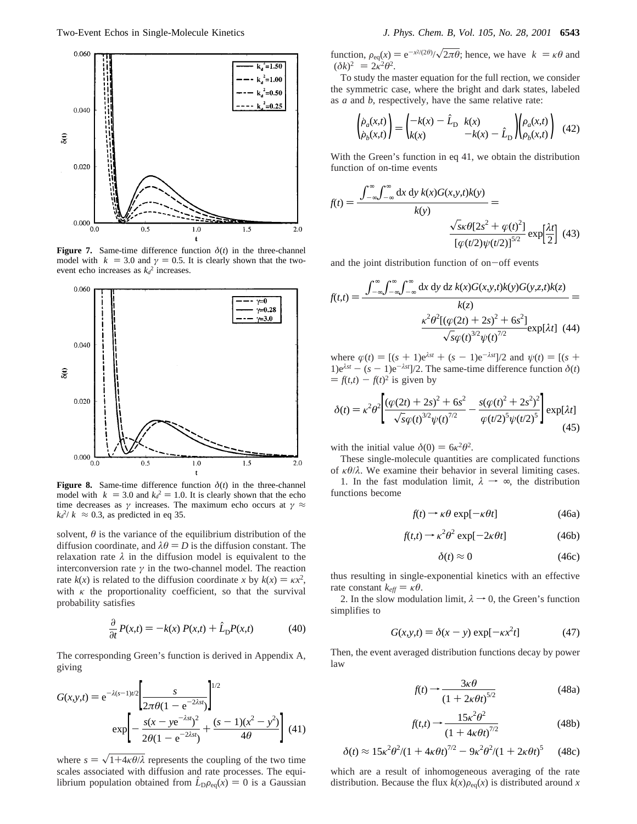

**Figure 7.** Same-time difference function  $\delta(t)$  in the three-channel model with  $\langle k \rangle = 3.0$  and  $\gamma = 0.5$ . It is clearly shown that the twoevent echo increases as  $k_d^2$  increases.



**Figure 8.** Same-time difference function  $\delta(t)$  in the three-channel model with  $\langle k \rangle = 3.0$  and  $k_d^2 = 1.0$ . It is clearly shown that the echo<br>time decreases as  $\gamma$  increases. The maximum echo occurs at  $\gamma \approx$ time decreases as *γ* increases. The maximum echo occurs at  $\gamma \approx$  $k_d^2/\langle k \rangle \approx 0.3$ , as predicted in eq 35.

solvent,  $\theta$  is the variance of the equilibrium distribution of the diffusion coordinate, and  $\lambda \theta = D$  is the diffusion constant. The relaxation rate  $\lambda$  in the diffusion model is equivalent to the interconversion rate  $\gamma$  in the two-channel model. The reaction rate  $k(x)$  is related to the diffusion coordinate *x* by  $k(x) = kx^2$ , with *κ* the proportionality coefficient, so that the survival probability satisfies

$$
\frac{\partial}{\partial t}P(x,t) = -k(x) P(x,t) + \hat{L}_{D}P(x,t)
$$
(40)

The corresponding Green's function is derived in Appendix A, giving

$$
G(x, y, t) = e^{-\lambda (s-1)t/2} \left[ \frac{s}{2\pi \theta (1 - e^{-2\lambda s t})} \right]^{1/2}
$$

$$
= \exp \left[ -\frac{s(x - y e^{-\lambda s t})^2}{2\theta (1 - e^{-2\lambda s t})} + \frac{(s - 1)(x^2 - y^2)}{4\theta} \right] (41)
$$

where  $s = \sqrt{1+4\kappa\theta/\lambda}$  represents the coupling of the two time scales associated with diffusion and rate processes. The equilibrium population obtained from  $\hat{L}_D \rho_{eq}(x) = 0$  is a Gaussian

function,  $\rho_{eq}(x) = e^{-x^2/(2\theta)} / \sqrt{2\pi\theta}$ ; hence, we have  $\langle k \rangle = \kappa\theta$  and  $\langle \langle \delta k \rangle^2 \rangle = 2\kappa^2\theta^2$  $\langle (\delta k)^2 \rangle = 2\kappa^2 \theta^2$ .

To study the master equation for the full rection, we consider the symmetric case, where the bright and dark states, labeled as *a* and *b*, respectively, have the same relative rate:

$$
\begin{pmatrix}\n\dot{\rho}_a(x,t) \\
\dot{\rho}_b(x,t)\n\end{pmatrix} = \begin{pmatrix}\n-k(x) - \hat{L}_{\text{D}} & k(x) \\
k(x) & -k(x) - \hat{L}_{\text{D}}\n\end{pmatrix} \begin{pmatrix}\n\rho_a(x,t) \\
\rho_b(x,t)\n\end{pmatrix}
$$
(42)

With the Green's function in eq 41, we obtain the distribution function of on-time events

$$
f(t) = \frac{\left\langle \int_{-\infty}^{\infty} \int_{-\infty}^{\infty} dx \, dy \, k(x) G(x, y, t) k(y) \right\rangle}{\left\langle k(y) \right\rangle} = \frac{\sqrt{s \kappa \theta [2s^2 + \varphi(t)^2]}}{\left[ \varphi(t/2) \psi(t/2) \right]^{5/2}} \exp\left[\frac{\lambda t}{2}\right] (43)
$$

and the joint distribution function of on-off events

$$
f(t,t) = \frac{\langle \int_{-\infty}^{\infty} \int_{-\infty}^{\infty} dx \, dy \, dz \, k(x) G(x,y,t) k(y) G(y,z,t) k(z) \rangle}{\langle k(z) \rangle} = \frac{\langle k^2 \theta^2 [(\varphi(2t) + 2s)^2 + 6s^2]}{\sqrt{s} \varphi(t)^{3/2} \psi(t)^{7/2}} \exp[\lambda t] \tag{44}
$$

where  $\varphi(t) = [(s + 1)e^{\lambda s t} + (s - 1)e^{-\lambda s t}]/2$  and  $\psi(t) = [(s + 1)e^{\lambda s t}]$ 1) $e^{\lambda s t} - (s - 1)e^{-\lambda s t}$ ]/2. The same-time difference function  $\delta(t)$  $= f(t,t) - f(t)^2$  is given by

$$
\delta(t) = \kappa^2 \theta^2 \left[ \frac{(\varphi(2t) + 2s)^2 + 6s^2}{\sqrt{s\varphi(t)^{3/2}\psi(t)^{7/2}}} - \frac{s(\varphi(t)^2 + 2s^2)^2}{\varphi(t/2)^5 \psi(t/2)^5} \right] \exp[\lambda t] \tag{45}
$$

with the initial value  $\delta(0) = 6\kappa^2\theta^2$ .

These single-molecule quantities are complicated functions of *κθ*/*λ*. We examine their behavior in several limiting cases. 1. In the fast modulation limit,  $\lambda \rightarrow \infty$ , the distribution functions become

$$
f(t) \to \kappa \theta \exp[-\kappa \theta t] \tag{46a}
$$

$$
f(t,t) \to \kappa^2 \theta^2 \exp[-2\kappa \theta t] \tag{46b}
$$

$$
\delta(t) \approx 0 \tag{46c}
$$

thus resulting in single-exponential kinetics with an effective rate constant  $k_{\text{eff}} = \kappa \theta$ .

2. In the slow modulation limit,  $\lambda \rightarrow 0$ , the Green's function simplifies to

$$
G(x, y, t) = \delta(x - y) \exp[-\kappa x^2 t] \tag{47}
$$

Then, the event averaged distribution functions decay by power law

$$
f(t) \rightarrow \frac{3\kappa\theta}{\left(1 + 2\kappa\theta t\right)^{5/2}}\tag{48a}
$$

$$
f(t,t) \rightarrow \frac{15\kappa^2 \theta^2}{(1 + 4\kappa \theta t)^{7/2}}
$$
(48b)

$$
\delta(t) \approx 15\kappa^2\theta^2/(1+4\kappa\theta t)^{7/2} - 9\kappa^2\theta^2/(1+2\kappa\theta t)^5 \qquad (48c)
$$

which are a result of inhomogeneous averaging of the rate distribution. Because the flux  $k(x)\rho_{eq}(x)$  is distributed around *x*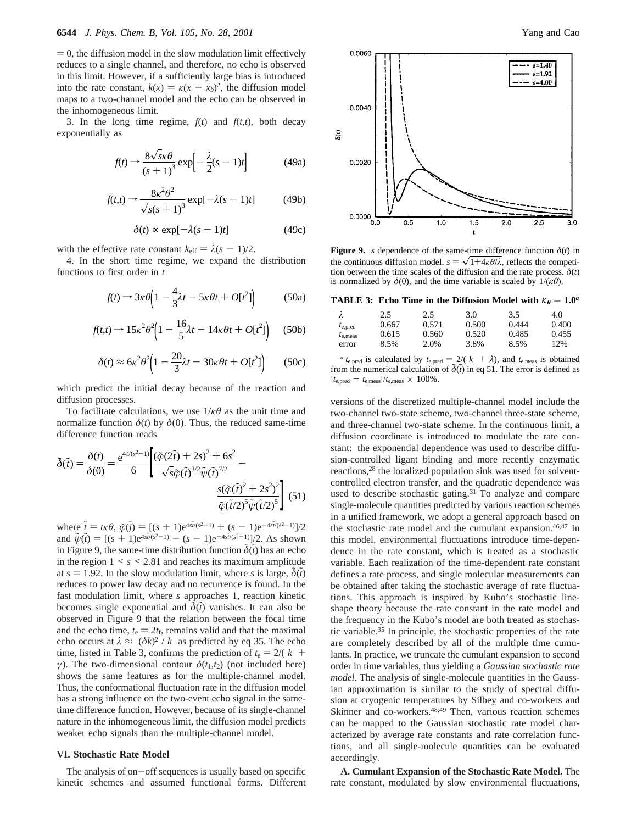$= 0$ , the diffusion model in the slow modulation limit effectively reduces to a single channel, and therefore, no echo is observed in this limit. However, if a sufficiently large bias is introduced into the rate constant,  $k(x) = k(x - x_b)^2$ , the diffusion model maps to a two-channel model and the echo can be observed in the inhomogeneous limit.

3. In the long time regime,  $f(t)$  and  $f(t,t)$ , both decay exponentially as

$$
f(t) \rightarrow \frac{8\sqrt{s}\kappa\theta}{(s+1)^3} \exp\left[-\frac{\lambda}{2}(s-1)t\right]
$$
 (49a)

$$
f(t,t) \to \frac{8\kappa^2 \theta^2}{\sqrt{s(s+1)^3}} \exp[-\lambda(s-1)t] \tag{49b}
$$

$$
\delta(t) \propto \exp[-\lambda(s-1)t] \tag{49c}
$$

with the effective rate constant  $k_{\text{eff}} = \lambda (s - 1)/2$ .

4. In the short time regime, we expand the distribution functions to first order in *t*

$$
f(t) \rightarrow 3\kappa \theta \left(1 - \frac{4}{3}\lambda t - 5\kappa \theta t + O(t^2)\right) \tag{50a}
$$

$$
f(t,t) \rightarrow 15\kappa^2 \theta^2 \left(1 - \frac{16}{5}\lambda t - 14\kappa \theta t + O[t^2]\right) \quad (50b)
$$

$$
\delta(t) \approx 6\kappa^2 \theta^2 \left(1 - \frac{20}{3} \lambda t - 30\kappa \theta t + O[t^2]\right) \tag{50c}
$$

which predict the initial decay because of the reaction and diffusion processes.

To facilitate calculations, we use  $1/\kappa\theta$  as the unit time and normalize function  $\delta(t)$  by  $\delta(0)$ . Thus, the reduced same-time difference function reads

$$
\tilde{\delta}(\tilde{t}) = \frac{\delta(t)}{\delta(0)} = \frac{e^{4\tilde{t}/(s^2-1)}}{6} \left[ \frac{(\tilde{\varphi}(2\tilde{t}) + 2s)^2 + 6s^2}{\sqrt{s}\tilde{\varphi}(\tilde{t})^{3/2}\tilde{\psi}(\tilde{t})^{7/2}} - \frac{s(\tilde{\varphi}(\tilde{t})^2 + 2s^2)^2}{\tilde{\varphi}(\tilde{t}/2)^5\tilde{\psi}(\tilde{t}/2)^5} \right] (51)
$$

where  $\tilde{t} = t\kappa\theta$ ,  $\tilde{\varphi}(\tilde{j}) = [(s + 1)e^{4s\tilde{t}/(s^2-1)} + (s - 1)e^{-4s\tilde{t}/(s^2-1)}]/2$ <br>and  $\tilde{\psi}(\tilde{t}) = [(s + 1)e^{4s\tilde{t}/(s^2-1)} - (s - 1)e^{-4s\tilde{t}/(s^2-1)}]/2$  As shown and  $\tilde{\psi}(\tilde{t}) = [(\tilde{s} + 1)e^{4\tilde{s}t/(\tilde{s}^2 - 1)} - (\tilde{s} - 1)e^{-4\tilde{s}t/(\tilde{s}^2 - 1)}]/2$ . As shown<br>in Figure 9, the same-time distribution function  $\tilde{\delta}(\tilde{t})$  has an echo in Figure 9, the same-time distribution function  $\tilde{\delta}(\tilde{t})$  has an echo in the region  $1 \leq s \leq 2.81$  and reaches its maximum amplitude at  $s = 1.92$ . In the slow modulation limit, where *s* is large,  $\delta(t)$ reduces to power law decay and no recurrence is found. In the fast modulation limit, where *s* approaches 1, reaction kinetic becomes single exponential and  $\tilde{\delta}(\tilde{t})$  vanishes. It can also be observed in Figure 9 that the relation between the focal time and the echo time,  $t_e = 2t_f$ , remains valid and that the maximal echo occurs at  $\lambda \approx \langle (\delta k)^2 \rangle / \langle k \rangle$  as predicted by eq 35. The echo time, listed in Table 3, confirms the prediction of  $t_e = 2/(\langle k \rangle +$ *γ*). The two-dimensional contour  $\delta(t_1, t_2)$  (not included here) shows the same features as for the multiple-channel model. Thus, the conformational fluctuation rate in the diffusion model has a strong influence on the two-event echo signal in the sametime difference function. However, because of its single-channel nature in the inhomogeneous limit, the diffusion model predicts weaker echo signals than the multiple-channel model.

#### **VI. Stochastic Rate Model**

The analysis of on $-$ off sequences is usually based on specific kinetic schemes and assumed functional forms. Different



**Figure 9.** *s* dependence of the same-time difference function  $\delta(t)$  in the continuous diffusion model.  $s = \sqrt{1+4\kappa\theta/\lambda}$ , reflects the competition between the time scales of the diffusion and the rate process.  $\delta(t)$ is normalized by  $\delta(0)$ , and the time variable is scaled by  $1/(\kappa \theta)$ .

|  | <b>TABLE 3:</b> Echo Time in the Diffusion Model with $\kappa_{\theta} = 1.0^a$ |  |
|--|---------------------------------------------------------------------------------|--|
|  |                                                                                 |  |

| $t_{e, pred}$     | 2.5   | 2.5   | 3.0   | 3.5   | 4.0   |
|-------------------|-------|-------|-------|-------|-------|
|                   | 0.667 | 0.571 | 0.500 | 0.444 | 0.400 |
| $t_{\rm e, meas}$ | 0.615 | 0.560 | 0.520 | 0.485 | 0.455 |
| error             | 8.5%  | 2.0%  | 3.8%  | 8.5%  | 12%   |

*a*  $t_{e,pred}$  is calculated by  $t_{e,pred} = 2/(\langle k \rangle + \lambda)$ , and  $t_{e,meas}$  is obtained from the numerical calculation of  $\tilde{\delta}(\tilde{t})$  in eq 51. The error is defined as  $|t_{\rm e, pred}\,-\,t_{\rm e,meas}|/t_{\rm e,meas}\,\times\,100\%$  .

versions of the discretized multiple-channel model include the two-channel two-state scheme, two-channel three-state scheme, and three-channel two-state scheme. In the continuous limit, a diffusion coordinate is introduced to modulate the rate constant: the exponential dependence was used to describe diffusion-controlled ligant binding and more recently enzymatic reactions,28 the localized population sink was used for solventcontrolled electron transfer, and the quadratic dependence was used to describe stochastic gating.<sup>31</sup> To analyze and compare single-molecule quantities predicted by various reaction schemes in a unified framework, we adopt a general approach based on the stochastic rate model and the cumulant expansion.46,47 In this model, environmental fluctuations introduce time-dependence in the rate constant, which is treated as a stochastic variable. Each realization of the time-dependent rate constant defines a rate process, and single molecular measurements can be obtained after taking the stochastic average of rate fluctuations. This approach is inspired by Kubo's stochastic lineshape theory because the rate constant in the rate model and the frequency in the Kubo's model are both treated as stochastic variable.35 In principle, the stochastic properties of the rate are completely described by all of the multiple time cumulants. In practice, we truncate the cumulant expansion to second order in time variables, thus yielding a *Gaussian stochastic rate model*. The analysis of single-molecule quantities in the Gaussian approximation is similar to the study of spectral diffusion at cryogenic temperatures by Silbey and co-workers and Skinner and co-workers.<sup>48,49</sup> Then, various reaction schemes can be mapped to the Gaussian stochastic rate model characterized by average rate constants and rate correlation functions, and all single-molecule quantities can be evaluated accordingly.

**A. Cumulant Expansion of the Stochastic Rate Model.** The rate constant, modulated by slow environmental fluctuations,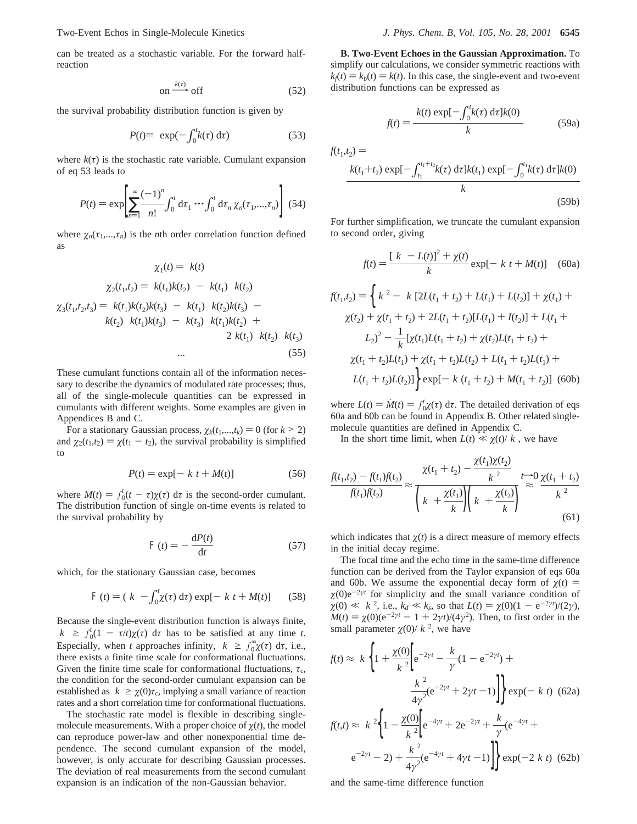can be treated as a stochastic variable. For the forward halfreaction

$$
on \xrightarrow{k(\tau)} off \tag{52}
$$

on  $\xrightarrow{k(\tau)}$  off<br>the survival probability distribution function is given by

$$
P(t) = \langle \exp(-\int_0^t k(\tau) d\tau) \rangle \tag{53}
$$

where  $k(\tau)$  is the stochastic rate variable. Cumulant expansion of eq 53 leads to

$$
P(t) = \exp\left[\sum_{n=1}^{\infty} \frac{(-1)^n}{n!} \int_0^t \mathrm{d}\tau_1 \cdots \int_0^t \mathrm{d}\tau_n \, \chi_n(\tau_1, ..., \tau_n)\right] \tag{54}
$$

where  $\chi_n(\tau_1,...,\tau_n)$  is the *n*th order correlation function defined as

$$
\chi_1(t) = \langle k(t) \rangle
$$
  
\n
$$
\chi_2(t_1, t_2) = \langle k(t_1)k(t_2) \rangle - \langle k(t_1) \rangle \langle k(t_2) \rangle
$$
  
\n
$$
\chi_3(t_1, t_2, t_3) = \langle k(t_1)k(t_2)k(t_3) \rangle - \langle k(t_1) \rangle \langle k(t_2)k(t_3) \rangle - \langle k(t_2) \rangle \langle k(t_1)k(t_2) \rangle + \langle k(t_2) \rangle \langle k(t_1)k(t_3) \rangle - \langle k(t_3) \rangle \langle k(t_1)k(t_2) \rangle \langle k(t_2) \rangle \langle k(t_3) \rangle
$$
  
\n... (55)

These cumulant functions contain all of the information necessary to describe the dynamics of modulated rate processes; thus, all of the single-molecule quantities can be expressed in cumulants with different weights. Some examples are given in Appendices B and C.

For a stationary Gaussian process,  $\chi_k(t_1,...,t_k) = 0$  (for  $k > 2$ ) and  $\chi_2(t_1,t_2) = \chi(t_1 - t_2)$ , the survival probability is simplified to

$$
P(t) = \exp[-\langle k \rangle t + M(t)] \tag{56}
$$

where  $M(t) = \int_0^t (t - \tau) \chi(\tau) d\tau$  is the second-order cumulant.<br>The distribution function of single on-time events is related to The distribution function of single on-time events is related to the survival probability by

$$
\mathcal{A}(t) = -\frac{\mathrm{d}P(t)}{\mathrm{d}t} \tag{57}
$$

which, for the stationary Gaussian case, becomes

$$
\mathcal{F}(t) = (\langle k \rangle - \int_0^t \chi(\tau) \, \mathrm{d}\tau) \exp[-\langle k \rangle t + M(t)] \tag{58}
$$

Because the single-event distribution function is always finite,  $\langle k \rangle \ge \int_0^t (1 - \tau/t) \chi(\tau) \, d\tau$  has to be satisfied at any time *t*.<br>Especially when *t* approaches infinity  $\langle k \rangle \ge \int_{-\infty}^{\infty} \chi(\tau) \, d\tau$  i.e. Especially, when *t* approaches infinity,  $\langle k \rangle \ge \int_{0}^{\infty} \chi(\tau) d\tau$ , i.e., there exists a finite time scale for conformational fluctuations. Given the finite time scale for conformational fluctuations,  $\tau_c$ , the condition for the second-order cumulant expansion can be established as  $\langle k \rangle \ge \chi(0)\tau_c$ , implying a small variance of reaction rates and a short correlation time for conformational fluctuations.

The stochastic rate model is flexible in describing singlemolecule measurements. With a proper choice of  $\chi(t)$ , the model can reproduce power-law and other nonexponential time dependence. The second cumulant expansion of the model, however, is only accurate for describing Gaussian processes. The deviation of real measurements from the second cumulant expansion is an indication of the non-Gaussian behavior.

**B. Two-Event Echoes in the Gaussian Approximation.** To simplify our calculations, we consider symmetric reactions with  $k<sub>i</sub>(t) = k<sub>b</sub>(t) = k(t)$ . In this case, the single-event and two-event distribution functions can be expressed as

$$
f(t) = \frac{\langle k(t) \exp[-\int_0^t k(\tau) \, \mathrm{d}\tau] k(0) \rangle}{\langle k \rangle} \tag{59a}
$$

 $f(t_1,t_2) =$ 

$$
\frac{\langle k(t_1+t_2)\exp[-\int_{t_1}^{t_1+t_2}k(\tau)\,\mathrm{d}\tau]k(t_1)\exp[-\int_0^{t_1}k(\tau)\,\mathrm{d}\tau]k(0)\rangle}{\langle k\rangle}\tag{59b}
$$

For further simplification, we truncate the cumulant expansion to second order, giving

$$
f(t) = \frac{[\langle k \rangle - L(t)]^2 + \chi(t)}{\langle k \rangle} \exp[-\langle k \rangle t + M(t)] \quad (60a)
$$

$$
f(t_1, t_2) = \left\{ \langle k \rangle^2 - \langle k \rangle [2L(t_1 + t_2) + L(t_1) + L(t_2)] + \chi(t_1) + \right.
$$
  
\n
$$
\chi(t_2) + \chi(t_1 + t_2) + 2L(t_1 + t_2)[L(t_1) + I(t_2)] + L(t_1 +
$$
  
\n
$$
L_2)^2 - \frac{1}{\langle k \rangle} [\chi(t_1)L(t_1 + t_2) + \chi(t_2)L(t_1 + t_2) + \right.
$$
  
\n
$$
\chi(t_1 + t_2)L(t_1) + \chi(t_1 + t_2)L(t_2) + L(t_1 + t_2)L(t_1) +
$$
  
\n
$$
L(t_1 + t_2)L(t_2)] \right\} \exp[-\langle k \rangle (t_1 + t_2) + M(t_1 + t_2)] \tag{60b}
$$

where  $L(t) = \dot{M}(t) = \int_0^t \chi(\tau) d\tau$ . The detailed derivation of eqs<br>60a and 60b can be found in Appendix B. Other related single-60a and 60b can be found in Appendix B. Other related singlemolecule quantities are defined in Appendix C.

In the short time limit, when  $L(t) \ll \chi(t)/\langle k \rangle$ , we have

$$
\frac{f(t_1, t_2) - f(t_1)f(t_2)}{f(t_1)f(t_2)} \approx \frac{\chi(t_1 + t_2) - \frac{\chi(t_1)\chi(t_2)}{\langle k \rangle^2}}{\left(\langle k \rangle + \frac{\chi(t_1)}{\langle k \rangle}\right)\left(\langle k \rangle + \frac{\chi(t_2)}{\langle k \rangle}\right)} \stackrel{t \to 0}{\sim} \frac{\chi(t_1 + t_2)}{\langle k \rangle^2}
$$
\n(61)

which indicates that  $\chi(t)$  is a direct measure of memory effects in the initial decay regime.

The focal time and the echo time in the same-time difference function can be derived from the Taylor expansion of eqs 60a and 60b. We assume the exponential decay form of  $\chi(t)$  =  $\chi(0)e^{-2\gamma t}$  for simplicity and the small variance condition of  $\chi$ (0)  $\ll$   $\langle k \rangle^2$ , i.e.,  $k_d \ll k_s$ , so that  $L(t) = \chi(0)(1 - e^{-2\gamma t})/(2\gamma)$ ,<br>*M*(*t*) =  $\chi$ (0)( $e^{-2\gamma t} - 1 + 2\gamma t$ )/(4 $\gamma$ <sup>2</sup>). Then to first order in the  $M(t) = \chi(0)(e^{-2\gamma t} - 1 + 2\gamma t)/(4\gamma^2)$ . Then, to first order in the small parameter  $\chi(0)/\langle k \rangle^2$ , we have

$$
f(t) \approx \langle k \rangle \Biggl\{ 1 + \frac{\chi(0)}{\langle k \rangle^2} \Biggl[ e^{-2\gamma t} - \frac{\langle k \rangle}{\gamma} (1 - e^{-2\gamma t}) + \frac{\langle k \rangle^2}{4\gamma^2} (e^{-2\gamma t} + 2\gamma t - 1) \Biggr] \Biggr\} \exp(-\langle k \rangle t) \tag{62a}
$$
  

$$
f(t,t) \approx \langle k \rangle^2 \Biggl\{ 1 - \frac{\chi(0)}{\langle k \rangle^2} \Biggl[ e^{-4\gamma t} + 2e^{-2\gamma t} + \frac{\langle k \rangle}{\gamma} (e^{-4\gamma t} + e^{-2\gamma t} - 2) + \frac{\langle k \rangle^2}{4\gamma^2} (e^{-4\gamma t} + 4\gamma t - 1) \Biggr] \Biggr\} \exp(-2\langle k \rangle t) \tag{62b}
$$

and the same-time difference function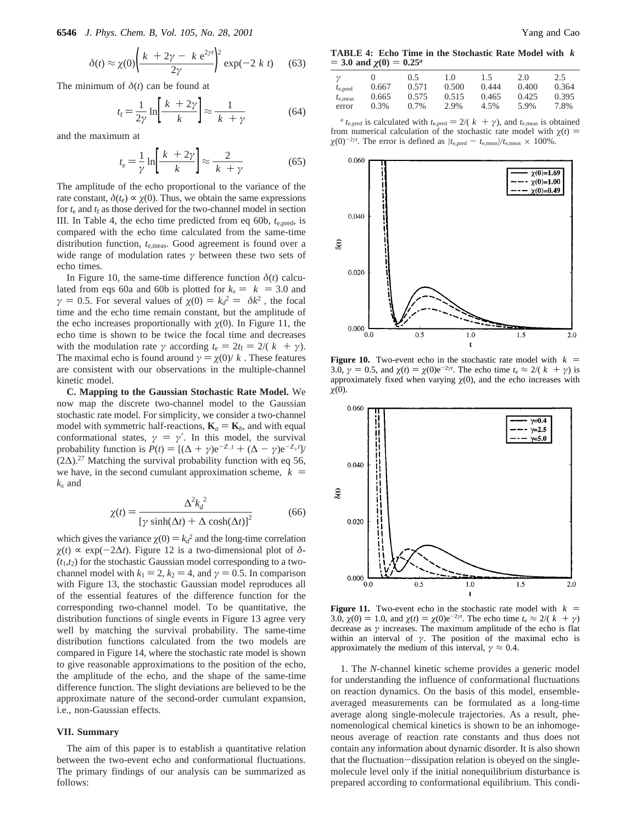$$
\delta(t) \approx \chi(0) \left( \frac{\langle k \rangle + 2\gamma - \langle k \rangle e^{2\gamma t}}{2\gamma} \right)^2 \exp(-2\langle k \rangle t) \tag{63}
$$

The minimum of  $\delta(t)$  can be found at

$$
t_{\rm f} = \frac{1}{2\gamma} \ln \left[ \frac{\langle k \rangle + 2\gamma}{\langle k \rangle} \right] \approx \frac{1}{\langle k \rangle + \gamma} \tag{64}
$$

and the maximum at

$$
t_{\rm e} = \frac{1}{\gamma} \ln \left[ \frac{\langle k \rangle + 2\gamma}{\langle k \rangle} \right] \approx \frac{2}{\langle k \rangle + \gamma} \tag{65}
$$

The amplitude of the echo proportional to the variance of the rate constant,  $\delta(t_e) \propto \gamma(0)$ . Thus, we obtain the same expressions for  $t_e$  and  $t_f$  as those derived for the two-channel model in section III. In Table 4, the echo time predicted from eq 60b, *t*e,pred, is compared with the echo time calculated from the same-time distribution function, *t*e,meas. Good agreement is found over a wide range of modulation rates *γ* between these two sets of echo times.

In Figure 10, the same-time difference function  $\delta(t)$  calculated from eqs 60a and 60b is plotted for  $k_s = \langle k \rangle = 3.0$  and *γ* = 0.5. For several values of  $\chi$ (0) =  $k_d^2 = \langle \delta k^2 \rangle$ , the focal time and the echo time remain constant but the amplitude of time and the echo time remain constant, but the amplitude of the echo increases proportionally with  $\gamma(0)$ . In Figure 11, the echo time is shown to be twice the focal time and decreases with the modulation rate  $\gamma$  according  $t_e = 2t_f = 2/(\langle k \rangle + \gamma)$ . The maximal echo is found around  $\gamma = \chi(0)/\langle k \rangle$ . These features are consistent with our observations in the multiple-channel kinetic model.

**C. Mapping to the Gaussian Stochastic Rate Model.** We now map the discrete two-channel model to the Gaussian stochastic rate model. For simplicity, we consider a two-channel model with symmetric half-reactions,  $\mathbf{K}_a = \mathbf{K}_b$ , and with equal conformational states,  $\gamma = \gamma'$ . In this model, the survival probability function is  $P(t) = [(\Delta + \gamma)e^{-Z_t t} + (\Delta - \gamma)e^{-Z_t t}]$ <br>(2 $\Delta$ ) <sup>27</sup> Matching the survival probability function with eq. 56  $(2\Delta)^{27}$  Matching the survival probability function with eq 56, we have, in the second cumulant approximation scheme,  $\langle k \rangle$  = *ks* and

$$
\chi(t) = \frac{\Delta^2 k_d^2}{\left[\gamma \sinh(\Delta t) + \Delta \cosh(\Delta t)\right]^2}
$$
(66)

which gives the variance  $\chi(0) = k_d^2$  and the long-time correlation<br>  $\chi(t) \propto \exp(-2\Lambda t)$ . Figure 12 is a two-dimensional plot of  $\Lambda$ - $\gamma(t) \propto \exp(-2\Delta t)$ . Figure 12 is a two-dimensional plot of  $\delta$ - $(t_1,t_2)$  for the stochastic Gaussian model corresponding to a twochannel model with  $k_1 = 2$ ,  $k_2 = 4$ , and  $\gamma = 0.5$ . In comparison with Figure 13, the stochastic Gaussian model reproduces all of the essential features of the difference function for the corresponding two-channel model. To be quantitative, the distribution functions of single events in Figure 13 agree very well by matching the survival probability. The same-time distribution functions calculated from the two models are compared in Figure 14, where the stochastic rate model is shown to give reasonable approximations to the position of the echo, the amplitude of the echo, and the shape of the same-time difference function. The slight deviations are believed to be the approximate nature of the second-order cumulant expansion, i.e., non-Gaussian effects.

### **VII. Summary**

The aim of this paper is to establish a quantitative relation between the two-event echo and conformational fluctuations. The primary findings of our analysis can be summarized as follows:

**TABLE 4: Echo Time in the Stochastic Rate Model with** 〈*k*〉  $=$  3.0 and  $\chi$ <sub>(0)</sub>  $=$  0.25<sup>*a*</sup>

| $\gamma$          | $\theta$ | 0.5     | 1.0   | 1.5   | 2.0   | 2.5   |
|-------------------|----------|---------|-------|-------|-------|-------|
| $t_{e, pred}$     | 0.667    | 0.571   | 0.500 | 0.444 | 0.400 | 0.364 |
| $t_{\rm e, meas}$ | 0.665    | 0.575   | 0.515 | 0.465 | 0.425 | 0.395 |
| error             | $0.3\%$  | $0.7\%$ | 2.9%  | 4.5%  | 5.9%  | 7.8%  |

*a t*<sub>e,pred</sub> is calculated with  $t_{e,pred} = 2/(k + \gamma)$ , and  $t_{e,meas}$  is obtained from numerical calculation of the stochastic rate model with  $\chi(t)$  =  $\chi(0)^{-2\gamma t}$ . The error is defined as  $|t_{e,\text{pred}} - t_{e,\text{meas}}|/t_{e,\text{meas}} \times 100\%$ .



**Figure 10.** Two-event echo in the stochastic rate model with  $\langle k \rangle$  = 3.0,  $\gamma = 0.5$ , and  $\chi(t) = \chi(0)e^{-2\gamma t}$ . The echo time  $t_e \approx 2/(\langle k \rangle + \gamma)$  is approximately fixed when varying  $\gamma(0)$  and the echo increases with approximately fixed when varying  $\chi$ (0), and the echo increases with  $\chi(0)$ .



**Figure 11.** Two-event echo in the stochastic rate model with  $\langle k \rangle$  = 3.0,  $\chi$ (0) = 1.0, and  $\chi$ (*t*) =  $\chi$ (0)e<sup>-2*γt*</sup>. The echo time *t*<sub>e</sub> ≈ 2/( $\langle k \rangle + \gamma$ ) decrease as *y* increases. The maximum amplitude of the echo is flat decrease as  $\gamma$  increases. The maximum amplitude of the echo is flat within an interval of  $\gamma$ . The position of the maximal echo is approximately the medium of this interval,  $\gamma \approx 0.4$ .

1. The *N*-channel kinetic scheme provides a generic model for understanding the influence of conformational fluctuations on reaction dynamics. On the basis of this model, ensembleaveraged measurements can be formulated as a long-time average along single-molecule trajectories. As a result, phenomenological chemical kinetics is shown to be an inhomogeneous average of reaction rate constants and thus does not contain any information about dynamic disorder. It is also shown that the fluctuation-dissipation relation is obeyed on the singlemolecule level only if the initial nonequilibrium disturbance is prepared according to conformational equilibrium. This condi-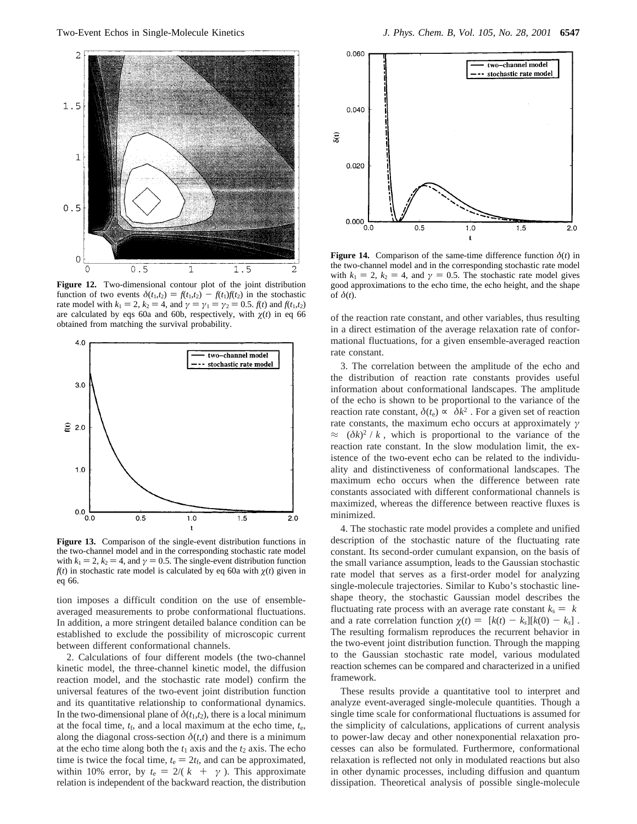

**Figure 12.** Two-dimensional contour plot of the joint distribution function of two events  $\delta(t_1,t_2) = f(t_1,t_2) - f(t_1)f(t_2)$  in the stochastic rate model with  $k_1 = 2$ ,  $k_2 = 4$ , and  $\gamma = \gamma_1 = \gamma_2 = 0.5$ .  $f(t)$  and  $f(t_1, t_2)$ are calculated by eqs 60a and 60b, respectively, with  $\chi(t)$  in eq 66 obtained from matching the survival probability.



**Figure 13.** Comparison of the single-event distribution functions in the two-channel model and in the corresponding stochastic rate model with  $k_1 = 2$ ,  $k_2 = 4$ , and  $\gamma = 0.5$ . The single-event distribution function  $f(t)$  in stochastic rate model is calculated by eq 60a with  $\chi(t)$  given in eq 66.

tion imposes a difficult condition on the use of ensembleaveraged measurements to probe conformational fluctuations. In addition, a more stringent detailed balance condition can be established to exclude the possibility of microscopic current between different conformational channels.

2. Calculations of four different models (the two-channel kinetic model, the three-channel kinetic model, the diffusion reaction model, and the stochastic rate model) confirm the universal features of the two-event joint distribution function and its quantitative relationship to conformational dynamics. In the two-dimensional plane of  $\delta(t_1,t_2)$ , there is a local minimum at the focal time,  $t_f$ , and a local maximum at the echo time,  $t_e$ , along the diagonal cross-section  $\delta(t,t)$  and there is a minimum at the echo time along both the  $t_1$  axis and the  $t_2$  axis. The echo time is twice the focal time,  $t_e = 2t_f$ , and can be approximated, within 10% error, by  $t_e = 2/(\langle k \rangle + \langle \gamma \rangle)$ . This approximate relation is independent of the backward reaction, the distribution



**Figure 14.** Comparison of the same-time difference function  $\delta(t)$  in the two-channel model and in the corresponding stochastic rate model with  $k_1 = 2$ ,  $k_2 = 4$ , and  $\gamma = 0.5$ . The stochastic rate model gives good approximations to the echo time, the echo height, and the shape of *δ*(*t*).

of the reaction rate constant, and other variables, thus resulting in a direct estimation of the average relaxation rate of conformational fluctuations, for a given ensemble-averaged reaction rate constant.

3. The correlation between the amplitude of the echo and the distribution of reaction rate constants provides useful information about conformational landscapes. The amplitude of the echo is shown to be proportional to the variance of the reaction rate constant,  $\delta(t_e) \propto \langle \delta k^2 \rangle$ . For a given set of reaction rate constants, the maximum echo occurs at approximately *γ*  $\approx \langle (\delta k)^2 \rangle / \langle k \rangle$ , which is proportional to the variance of the reaction rate constant. In the slow modulation limit, the existence of the two-event echo can be related to the individuality and distinctiveness of conformational landscapes. The maximum echo occurs when the difference between rate constants associated with different conformational channels is maximized, whereas the difference between reactive fluxes is minimized.

4. The stochastic rate model provides a complete and unified description of the stochastic nature of the fluctuating rate constant. Its second-order cumulant expansion, on the basis of the small variance assumption, leads to the Gaussian stochastic rate model that serves as a first-order model for analyzing single-molecule trajectories. Similar to Kubo's stochastic lineshape theory, the stochastic Gaussian model describes the fluctuating rate process with an average rate constant  $k_s = \langle k \rangle$ and a rate correlation function  $\chi(t) = \langle [k(t) - k_s][k(0) - k_s] \rangle$ . The resulting formalism reproduces the recurrent behavior in the two-event joint distribution function. Through the mapping to the Gaussian stochastic rate model, various modulated reaction schemes can be compared and characterized in a unified framework.

These results provide a quantitative tool to interpret and analyze event-averaged single-molecule quantities. Though a single time scale for conformational fluctuations is assumed for the simplicity of calculations, applications of current analysis to power-law decay and other nonexponential relaxation processes can also be formulated. Furthermore, conformational relaxation is reflected not only in modulated reactions but also in other dynamic processes, including diffusion and quantum dissipation. Theoretical analysis of possible single-molecule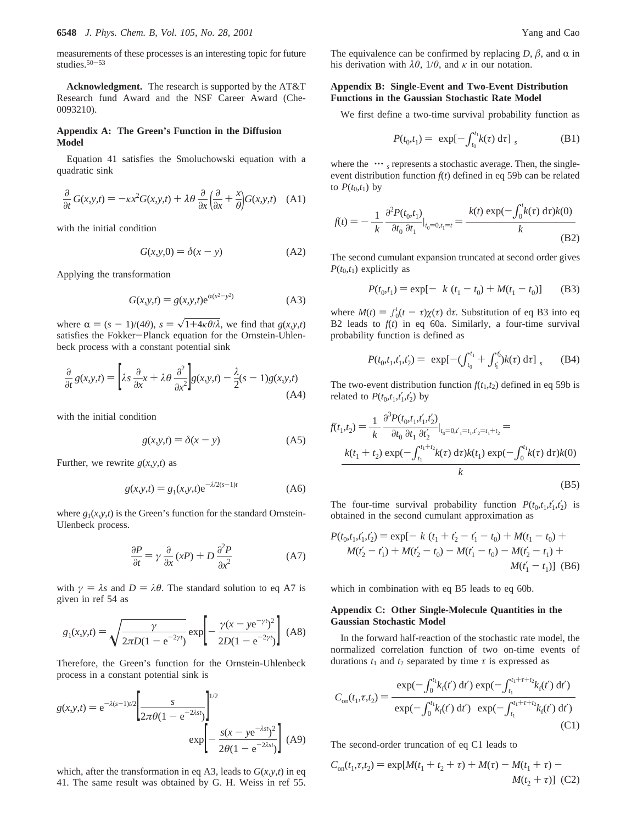measurements of these processes is an interesting topic for future studies.<sup>50-53</sup>

**Acknowledgment.** The research is supported by the AT&T Research fund Award and the NSF Career Award (Che-0093210).

## **Appendix A: The Green's Function in the Diffusion Model**

Equation 41 satisfies the Smoluchowski equation with a quadratic sink

$$
\frac{\partial}{\partial t} G(x, y, t) = -\kappa x^2 G(x, y, t) + \lambda \theta \frac{\partial}{\partial x} \left( \frac{\partial}{\partial x} + \frac{x}{\theta} \right) G(x, y, t) \quad (A1)
$$

with the initial condition

$$
G(x, y, 0) = \delta(x - y)
$$
 (A2)

Applying the transformation

$$
G(x, y, t) = g(x, y, t)e^{\alpha(x^2 - y^2)}
$$
 (A3)

where  $\alpha = (s - 1)/(4\theta)$ ,  $s = \sqrt{1+4\kappa\theta/\lambda}$ , we find that  $g(x, y, t)$ satisfies the Fokker-Planck equation for the Ornstein-Uhlenbeck process with a constant potential sink

$$
\frac{\partial}{\partial t} g(x, y, t) = \left[ \lambda s \frac{\partial}{\partial x} x + \lambda \theta \frac{\partial^2}{\partial x^2} \right] g(x, y, t) - \frac{\lambda}{2} (s - 1) g(x, y, t)
$$
\n(A4)

with the initial condition

$$
g(x, y, t) = \delta(x - y)
$$
 (A5)

Further, we rewrite  $g(x, y, t)$  as

$$
g(x, y, t) = g_1(x, y, t)e^{-\lambda/2(s-1)t}
$$
 (A6)

where  $g_1(x, y, t)$  is the Green's function for the standard Ornstein-Ulenbeck process.

$$
\frac{\partial P}{\partial t} = \gamma \frac{\partial}{\partial x} (xP) + D \frac{\partial^2 P}{\partial x^2}
$$
 (A7)

with  $\gamma = \lambda s$  and  $D = \lambda \theta$ . The standard solution to eq A7 is given in ref 54 as

$$
g_1(x,y,t) = \sqrt{\frac{\gamma}{2\pi D(1 - e^{-2\gamma t})}} \exp\left[-\frac{\gamma(x - ye^{-\gamma t})^2}{2D(1 - e^{-2\gamma t})}\right]
$$
 (A8)

Therefore, the Green's function for the Ornstein-Uhlenbeck process in a constant potential sink is

$$
g(x,y,t) = e^{-\lambda(s-1)t/2} \left[ \frac{s}{2\pi\theta(1 - e^{-2\lambda s t})} \right]^{1/2}
$$

$$
exp \left[ -\frac{s(x - ye^{-\lambda s t})^2}{2\theta(1 - e^{-2\lambda s t})} \right] (A9)
$$

which, after the transformation in eq A3, leads to  $G(x, y, t)$  in eq 41. The same result was obtained by G. H. Weiss in ref 55. The equivalence can be confirmed by replacing  $D$ ,  $\beta$ , and  $\alpha$  in his derivation with  $\lambda \theta$ ,  $1/\theta$ , and  $\kappa$  in our notation.

## **Appendix B: Single-Event and Two-Event Distribution Functions in the Gaussian Stochastic Rate Model**

We first define a two-time survival probability function as

$$
P(t_0, t_1) = \langle \exp[-\int_{t_0}^{t_1} k(\tau) d\tau] \rangle_s \tag{B1}
$$

*t*

where the  $\langle \cdots \rangle_s$  represents a stochastic average. Then, the singleevent distribution function  $f(t)$  defined in eq 59b can be related to  $P(t_0,t_1)$  by

$$
f(t) = -\frac{1}{\langle k \rangle} \frac{\partial^2 P(t_0, t_1)}{\partial t_0 \partial t_1} \Big|_{t_0 = 0, t_1 = t} = \frac{\langle k(t) \exp(-\int_0^t k(\tau) d\tau) k(0) \rangle}{\langle k \rangle}
$$
(B2)

The second cumulant expansion truncated at second order gives  $P(t_0,t_1)$  explicitly as

$$
P(t_0, t_1) = \exp[-\langle k \rangle (t_1 - t_0) + M(t_1 - t_0)] \tag{B3}
$$

where  $M(t) = \int_0^t (t - \tau) \chi(\tau) d\tau$ . Substitution of eq B3 into eq<br>B2 leads to  $f(t)$  in eq 60a. Similarly, a four-time survival B2 leads to  $f(t)$  in eq 60a. Similarly, a four-time survival probability function is defined as

$$
P(t_0, t_1, t_1', t_2') = \langle \exp[-(\int_{t_0}^{t_1} + \int_{t_1'}^{t_2'}) k(\tau) \, d\tau] \rangle_s \qquad (B4)
$$

The two-event distribution function  $f(t_1, t_2)$  defined in eq 59b is related to  $P(t_0, t_1, t'_1, t'_2)$  by

$$
f(t_1, t_2) = \frac{1}{\langle k \rangle} \frac{\partial^3 P(t_0, t_1, t_1', t_2')}{\partial t_0 \partial t_1 \partial t_2'} \Big|_{t_0 = 0, t_1' = t_1, t_2' = t_1 + t_2} = \frac{\langle k(t_1 + t_2) \exp(-\int_{t_1}^{t_1 + t_2} k(\tau) \, d\tau) k(t_1) \exp(-\int_0^{t_1} k(\tau) \, d\tau) k(0) \rangle}{\langle k \rangle}
$$
\n(B5)

The four-time survival probability function  $P(t_0, t_1, t'_1, t'_2)$  is obtained in the second cumulant approximation as

$$
P(t_0, t_1, t_1', t_2') = \exp[-\langle k \rangle (t_1 + t_2' - t_1' - t_0) + M(t_1 - t_0) + M(t_2' - t_1') + M(t_2' - t_0) - M(t_1' - t_0) - M(t_2' - t_1) + M(t_1' - t_1)]
$$
(B6)

which in combination with eq B5 leads to eq 60b.

## **Appendix C: Other Single-Molecule Quantities in the Gaussian Stochastic Model**

In the forward half-reaction of the stochastic rate model, the normalized correlation function of two on-time events of durations  $t_1$  and  $t_2$  separated by time  $\tau$  is expressed as

$$
C_{\text{on}}(t_1, \tau, t_2) = \frac{\langle \exp(-\int_0^{t_1} k_f(t') \, \mathrm{d}t') \exp(-\int_{t_1}^{t_1 + \tau + t_2} k_f(t') \, \mathrm{d}t') \rangle}{\langle \exp(-\int_0^{t_1} k_f(t') \, \mathrm{d}t') \rangle \langle \exp(-\int_{t_1}^{t_1 + \tau + t_2} k_f(t') \, \mathrm{d}t') \rangle}
$$
(C1)

The second-order truncation of eq C1 leads to

$$
C_{on}(t_1, \tau, t_2) = \exp[M(t_1 + t_2 + \tau) + M(\tau) - M(t_1 + \tau) - M(t_2 + \tau)] \tag{C2}
$$